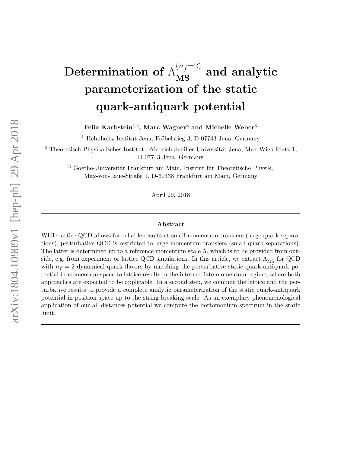# Determination of  $\Lambda_{\overline{\mathrm{MS}}}^{(n_f=2)}$  and analytic parameterization of the static quark-antiquark potential

Felix Karbstein $^{1,2}$ , Marc Wagner $^3$  and Michelle Weber $^3$ 

<sup>1</sup> Helmholtz-Institut Jena, Fröbelstieg 3, D-07743 Jena, Germany

 $2$  Theoretisch-Physikalisches Institut, Friedrich-Schiller-Universität Jena, Max-Wien-Platz 1, D-07743 Jena, Germany

 $3$  Goethe-Universität Frankfurt am Main, Institut für Theoretische Physik, Max-von-Laue-Straße 1, D-60438 Frankfurt am Main, Germany

April 29, 2018

#### Abstract

While lattice QCD allows for reliable results at small momentum transfers (large quark separations), perturbative QCD is restricted to large momentum transfers (small quark separations). The latter is determined up to a reference momentum scale  $\Lambda$ , which is to be provided from outside, e.g. from experiment or lattice QCD simulations. In this article, we extract  $\Lambda_{\overline{MS}}$  for QCD with  $n_f = 2$  dynamical quark flavors by matching the perturbative static quark-antiquark potential in momentum space to lattice results in the intermediate momentum regime, where both approaches are expected to be applicable. In a second step, we combine the lattice and the perturbative results to provide a complete analytic parameterization of the static quark-antiquark potential in position space up to the string breaking scale. As an exemplary phenomenological application of our all-distances potential we compute the bottomonium spectrum in the static limit.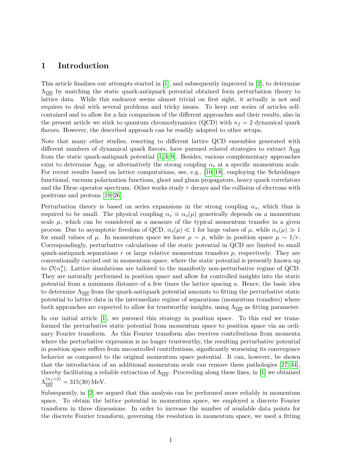## 1 Introduction

This article finalizes our attempts started in [\[1\]](#page-28-0), and subsequently improved in [\[2\]](#page-28-1), to determine  $\Lambda_{\overline{\rm MS}}$  by matching the static quark-antiquark potential obtained form perturbation theory to lattice data. While this endeavor seems almost trivial on first sight, it actually is not and requires to deal with several problems and tricky issues. To keep our series of articles selfcontained and to allow for a fair comparison of the different approaches and their results, also in the present article we stick to quantum chromodynamics (QCD) with  $n_f = 2$  dynamical quark flavors. However, the described approach can be readily adopted to other setups.

Note that many other studies, resorting to different lattice QCD ensembles generated with different numbers of dynamical quark flavors, have pursued related strategies to extract  $\Lambda_{\overline{\text{MS}}}$ from the static quark-antiquark potential [\[1,](#page-28-0) [3–](#page-28-2)[9\]](#page-28-3). Besides, various complementary approaches exist to determine  $\Lambda_{\overline{\text{MS}}}$ , or alternatively the strong coupling  $\alpha_s$  at a specific momentum scale. For recent results based on lattice computations, see, e.g.,  $[10-18]$  $[10-18]$ , employing the Schrödinger functional, vacuum polarization functions, ghost and gluon propagators, heavy quark correlators and the Dirac operator spectrum. Other works study  $\tau$  decays and the collision of electrons with positrons and protons [\[19–](#page-29-1)[26\]](#page-29-2).

Perturbation theory is based on series expansions in the strong coupling  $\alpha_s$ , which thus is required to be small. The physical coupling  $\alpha_s \equiv \alpha_s(\mu)$  generically depends on a momentum scale  $\mu$ , which can be considered as a measure of the typical momentum transfer in a given process. Due to asymptotic freedom of QCD,  $\alpha_s(\mu) \ll 1$  for large values of  $\mu$ , while  $\alpha_s(\mu) \gg 1$ for small values of  $\mu$ . In momentum space we have  $\mu \sim p$ , while in position space  $\mu \sim 1/r$ . Correspondingly, perturbative calculations of the static potential in QCD are limited to small quark-antiquark separations  $r$  or large relative momentum transfers  $p$ , respectively. They are conventionally carried out in momentum space, where the static potential is presently known up to  $\mathcal{O}(\alpha_s^4)$ . Lattice simulations are tailored to the manifestly non-perturbative regime of QCD. They are naturally performed in position space and allow for controlled insights into the static potential from a minimum distance of a few times the lattice spacing a. Hence, the basic idea to determine  $\Lambda_{\overline{\text{MS}}}$  from the quark-antiquark potential amounts to fitting the perturbative static potential to lattice data in the intermediate regime of separations (momentum transfers) where both approaches are expected to allow for trustworthy insights, using  $\Lambda_{\overline{MS}}$  as fitting parameter.

In our initial article [\[1\]](#page-28-0), we pursued this strategy in position space. To this end we transformed the perturbative static potential from momentum space to position space via an ordinary Fourier transform. As this Fourier transform also receives contributions from momenta where the perturbative expression is no longer trustworthy, the resulting perturbative potential in position space suffers from uncontrolled contributions, significantly worsening its convergence behavior as compared to the original momentum space potential. It can, however, be shown that the introduction of an additional momentum scale can remove these pathologies [\[27–](#page-29-3)[34\]](#page-30-0), thereby facilitating a reliable extraction of  $\Lambda_{\overline{\text{MS}}}$ . Proceeding along these lines, in [\[1\]](#page-28-0) we obtained  $\Lambda_{\overline{\rm MS}}^{(n_f=2)} = 315(30)$  MeV.

Subsequently, in [\[2\]](#page-28-1) we argued that this analysis can be performed more reliably in momentum space. To obtain the lattice potential in momentum space, we employed a discrete Fourier transform in three dimensions. In order to increase the number of available data points for the discrete Fourier transform, governing the resolution in momentum space, we used a fitting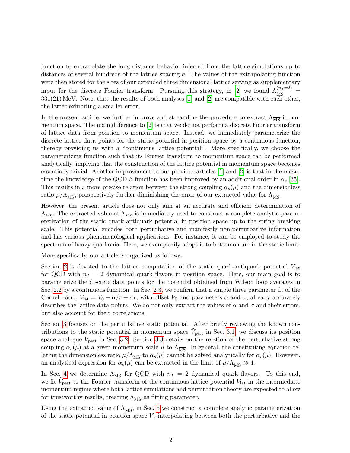function to extrapolate the long distance behavior inferred from the lattice simulations up to distances of several hundreds of the lattice spacing a. The values of the extrapolating function were then stored for the sites of our extended three dimensional lattice serving as supplementary input for the discrete Fourier transform. Pursuing this strategy, in [\[2\]](#page-28-1) we found  $\Lambda_{\overline{MS}}^{(n_f=2)}$  $331(21)$  MeV. Note, that the results of both analyses [\[1\]](#page-28-0) and [\[2\]](#page-28-1) are compatible with each other, the latter exhibiting a smaller error.

In the present article, we further improve and streamline the procedure to extract  $\Lambda_{\overline{MS}}$  in momentum space. The main difference to [\[2\]](#page-28-1) is that we do not perform a discrete Fourier transform of lattice data from position to momentum space. Instead, we immediately parameterize the discrete lattice data points for the static potential in position space by a continuous function, thereby providing us with a "continuous lattice potential". More specifically, we choose the parameterizing function such that its Fourier transform to momentum space can be performed analytically, implying that the construction of the lattice potential in momentum space becomes essentially trivial. Another improvement to our previous articles [\[1\]](#page-28-0) and [\[2\]](#page-28-1) is that in the meantime the knowledge of the QCD  $\beta$ -function has been improved by an additional order in  $\alpha_s$  [\[35\]](#page-30-1). This results in a more precise relation between the strong coupling  $\alpha_s(\mu)$  and the dimensionless ratio  $\mu/\Lambda_{\overline{\text{MS}}}$ , prospectively further diminishing the error of our extracted value for  $\Lambda_{\overline{\text{MS}}}$ .

However, the present article does not only aim at an accurate and efficient determination of  $\Lambda_{\overline{\rm MS}}$ . The extracted value of  $\Lambda_{\overline{\rm MS}}$  is immediately used to construct a complete analytic parameterization of the static quark-antiquark potential in position space up to the string breaking scale. This potential encodes both perturbative and manifestly non-perturbative information and has various phenomenological applications. For instance, it can be employed to study the spectrum of heavy quarkonia. Here, we exemplarily adopt it to bottomonium in the static limit.

More specifically, our article is organized as follows.

Section [2](#page-4-0) is devoted to the lattice computation of the static quark-antiquark potential  $V_{\text{lat}}$ for QCD with  $n_f = 2$  dynamical quark flavors in position space. Here, our main goal is to parameterize the discrete data points for the potential obtained from Wilson loop averages in Sec. [2.2](#page-4-1) by a continuous function. In Sec. [2.3,](#page-5-0) we confirm that a simple three parameter fit of the Cornell form,  $V_{\text{lat}} = V_0 - \alpha/r + \sigma r$ , with offset  $V_0$  and parameters  $\alpha$  and  $\sigma$ , already accurately describes the lattice data points. We do not only extract the values of  $\alpha$  and  $\sigma$  and their errors, but also account for their correlations.

Section [3](#page-10-0) focuses on the perturbative static potential. After briefly reviewing the known contributions to the static potential in momentum space  $\tilde{V}_{\text{pert}}$  in Sec. [3.1,](#page-10-1) we discuss its position space analogue  $V_{\text{pert}}$  in Sec. [3.2.](#page-11-0) Section [3.3](#page-13-0) details on the relation of the perturbative strong coupling  $\alpha_s(\mu)$  at a given momentum scale  $\mu$  to  $\Lambda_{\overline{\rm MS}}$ . In general, the constituting equation relating the dimensionless ratio  $\mu/\Lambda_{\overline{MS}}$  to  $\alpha_s(\mu)$  cannot be solved analytically for  $\alpha_s(\mu)$ . However, an analytical expression for  $\alpha_s(\mu)$  can be extracted in the limit of  $\mu/\Lambda_{\overline{\rm MS}} \gg 1$ .

In Sec. [4](#page-15-0) we determine  $\Lambda_{\overline{\text{MS}}}$  for QCD with  $n_f = 2$  dynamical quark flavors. To this end, we fit  $\tilde{V}_{\text{pert}}$  to the Fourier transform of the continuous lattice potential  $V_{\text{lat}}$  in the intermediate momentum regime where both lattice simulations and perturbation theory are expected to allow for trustworthy results, treating  $\Lambda_{\overline{\text{MS}}}$  as fitting parameter.

Using the extracted value of  $\Lambda_{\overline{\text{MS}}}$ , in Sec. [5](#page-19-0) we construct a complete analytic parameterization of the static potential in position space  $V$ , interpolating between both the perturbative and the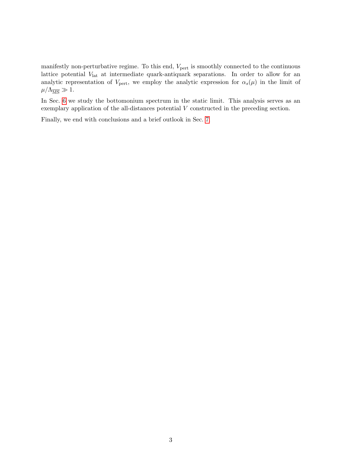manifestly non-perturbative regime. To this end,  $V_{\text{pert}}$  is smoothly connected to the continuous lattice potential  $V_{\text{lat}}$  at intermediate quark-antiquark separations. In order to allow for an analytic representation of  $V_{\text{pert}}$ , we employ the analytic expression for  $\alpha_s(\mu)$  in the limit of  $\mu/\Lambda_{\overline{\rm MS}} \gg 1.$ 

In Sec. [6](#page-22-0) we study the bottomonium spectrum in the static limit. This analysis serves as an exemplary application of the all-distances potential V constructed in the preceding section.

Finally, we end with conclusions and a brief outlook in Sec. [7.](#page-26-0)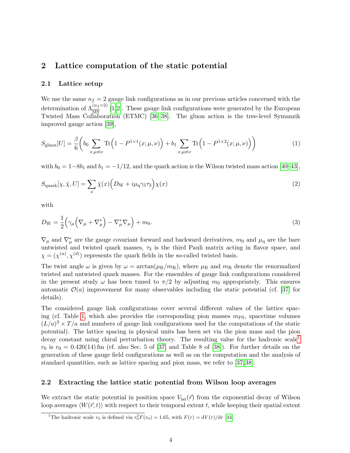## <span id="page-4-0"></span>2 Lattice computation of the static potential

#### <span id="page-4-3"></span>2.1 Lattice setup

We use the same  $n_f = 2$  gauge link configurations as in our previous articles concerned with the determination of  $\Lambda_{\overline{MS}}^{(n_f=2)}$  [\[1,](#page-28-0)[2\]](#page-28-1). These gauge link configurations were generated by the European Twisted Mass Collaboration (ETMC) [\[36–](#page-30-2)[38\]](#page-30-3). The gluon action is the tree-level Symanzik improved gauge action [\[39\]](#page-30-4),

$$
S_{\text{gluon}}[U] = \frac{\beta}{6} \left( b_0 \sum_{x,\mu \neq \nu} \text{Tr}\left( 1 - P^{1 \times 1}(x; \mu, \nu) \right) + b_1 \sum_{x,\mu \neq \nu} \text{Tr}\left( 1 - P^{1 \times 2}(x; \mu, \nu) \right) \right) \tag{1}
$$

with  $b_0 = 1-\delta b_1$  and  $b_1 = -1/12$ , and the quark action is the Wilson twisted mass action [\[40–](#page-30-5)[43\]](#page-30-6),

$$
S_{\text{quark}}[\chi, \bar{\chi}, U] = \sum_{x} \bar{\chi}(x) \Big( D_{\text{W}} + i\mu_{\text{q}} \gamma_{5} \tau_{3} \Big) \chi(x) \tag{2}
$$

with

$$
D_{\rm W} = \frac{1}{2} \left( \gamma_{\mu} \left( \nabla_{\mu} + \nabla_{\mu}^{*} \right) - \nabla_{\mu}^{*} \nabla_{\mu} \right) + m_{0}.
$$
\n(3)

 $\nabla_{\mu}$  and  $\nabla_{\mu}^*$  are the gauge covariant forward and backward derivatives,  $m_0$  and  $\mu_q$  are the bare untwisted and twisted quark masses,  $\tau_3$  is the third Pauli matrix acting in flavor space, and  $\chi = (\chi^{(u)}, \chi^{(d)})$  represents the quark fields in the so-called twisted basis.

The twist angle  $\omega$  is given by  $\omega = \arctan(\mu_R/m_R)$ , where  $\mu_R$  and  $m_R$  denote the renormalized twisted and untwisted quark masses. For the ensembles of gauge link configurations considered in the present study  $\omega$  has been tuned to  $\pi/2$  by adjusting  $m_0$  appropriately. This ensures automatic  $\mathcal{O}(a)$  improvement for many observables including the static potential (cf. [\[37\]](#page-30-7) for details).

The considered gauge link configurations cover several different values of the lattice spac-ing (cf. Table [1,](#page-5-1) which also provides the corresponding pion masses  $m_{PS}$ , spacetime volumes  $(L/a)^3 \times T/a$  and numbers of gauge link configurations used for the computations of the static potential). The lattice spacing in physical units has been set via the pion mass and the pion decay constant using chiral perturbation theory. The resulting value for the hadronic scale<sup>[1](#page-4-2)</sup>  $r_0$  is  $r_0 = 0.420(14)$  fm (cf. also Sec. 5 of [\[37\]](#page-30-7) and Table 8 of [\[38\]](#page-30-3)). For further details on the generation of these gauge field configurations as well as on the computation and the analysis of standard quantities, such as lattice spacing and pion mass, we refer to [\[37,](#page-30-7) [38\]](#page-30-3).

### <span id="page-4-1"></span>2.2 Extracting the lattice static potential from Wilson loop averages

We extract the static potential in position space  $V_{\text{lat}}(\vec{r})$  from the exponential decay of Wilson loop averages  $\langle W(\vec{r}, t) \rangle$  with respect to their temporal extent t, while keeping their spatial extent

<span id="page-4-2"></span><sup>&</sup>lt;sup>1</sup>The hadronic scale  $r_0$  is defined via  $r_0^2 F(r_0) = 1.65$ , with  $F(r) = dV(r)/dr$  [\[44\]](#page-30-8).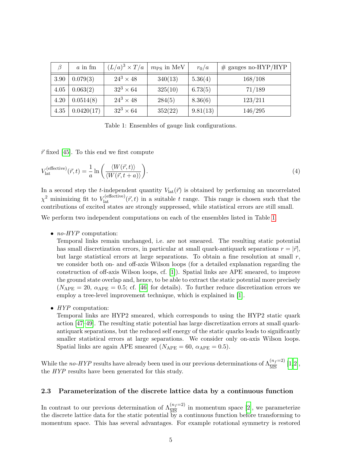<span id="page-5-1"></span>

|      | $a$ in fm  | $(L/a)^3 \times T/a$ | $m_{\rm PS}$ in MeV | $r_0/a$  | $#$ gauges no-HYP/HYP |
|------|------------|----------------------|---------------------|----------|-----------------------|
| 3.90 | 0.079(3)   | $24^3 \times 48$     | 340(13)             | 5.36(4)  | 168/108               |
| 4.05 | 0.063(2)   | $32^3 \times 64$     | 325(10)             | 6.73(5)  | 71/189                |
| 4.20 | 0.0514(8)  | $24^3 \times 48$     | 284(5)              | 8.36(6)  | 123/211               |
| 4.35 | 0.0420(17) | $32^3 \times 64$     | 352(22)             | 9.81(13) | 146/295               |

Table 1: Ensembles of gauge link configurations.

 $\vec{r}$  fixed [\[45\]](#page-30-9). To this end we first compute

$$
V_{\text{lat}}^{(\text{effective})}(\vec{r},t) = \frac{1}{a} \ln \left( \frac{\langle W(\vec{r},t) \rangle}{\langle W(\vec{r},t+a) \rangle} \right).
$$
\n(4)

In a second step the t-independent quantity  $V_{\text{lat}}(\vec{r})$  is obtained by performing an uncorrelated  $\chi^2$  minimizing fit to  $V_{\text{lat}}^{(\text{effective})}(\vec{r},t)$  in a suitable t range. This range is chosen such that the contributions of excited states are strongly suppressed, while statistical errors are still small.

We perform two independent computations on each of the ensembles listed in Table [1.](#page-5-1)

•  $no-HYP$  computation:

Temporal links remain unchanged, i.e. are not smeared. The resulting static potential has small discretization errors, in particular at small quark-antiquark separations  $r = |\vec{r}|$ , but large statistical errors at large separations. To obtain a fine resolution at small  $r$ , we consider both on- and off-axis Wilson loops (for a detailed explanation regarding the construction of off-axis Wilson loops, cf. [\[1\]](#page-28-0)). Spatial links are APE smeared, to improve the ground state overlap and, hence, to be able to extract the static potential more precisely  $(N_{\text{APE}} = 20, \alpha_{\text{APE}} = 0.5; \text{ cf. } [46]$  $(N_{\text{APE}} = 20, \alpha_{\text{APE}} = 0.5; \text{ cf. } [46]$  for details). To further reduce discretization errors we employ a tree-level improvement technique, which is explained in [\[1\]](#page-28-0).

• HYP computation:

Temporal links are HYP2 smeared, which corresponds to using the HYP2 static quark action [\[47–](#page-31-1)[49\]](#page-31-2). The resulting static potential has large discretization errors at small quarkantiquark separations, but the reduced self energy of the static quarks leads to significantly smaller statistical errors at large separations. We consider only on-axis Wilson loops. Spatial links are again APE smeared ( $N_{\text{APE}} = 60$ ,  $\alpha_{\text{APE}} = 0.5$ ).

While the no-HYP results have already been used in our previous determinations of  $\Lambda_{\overline{\rm MS}}^{(n_f=2)}$  [\[1,](#page-28-0)[2\]](#page-28-1), the HYP results have been generated for this study.

### <span id="page-5-0"></span>2.3 Parameterization of the discrete lattice data by a continuous function

In contrast to our previous determination of  $\Lambda_{\overline{MS}}^{(n_f=2)}$  in momentum space [\[2\]](#page-28-1), we parameterize the discrete lattice data for the static potential by a continuous function before transforming to momentum space. This has several advantages. For example rotational symmetry is restored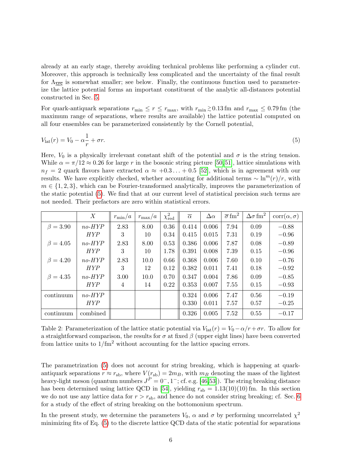already at an early stage, thereby avoiding technical problems like performing a cylinder cut. Moreover, this approach is technically less complicated and the uncertainty of the final result for  $\Lambda_{\overline{\rm MS}}$  is somewhat smaller; see below. Finally, the continuous function used to parameterize the lattice potential forms an important constituent of the analytic all-distances potential constructed in Sec. [5.](#page-19-0)

For quark-antiquark separations  $r_{\min} \le r \le r_{\max}$ , with  $r_{\min} \gtrsim 0.13$  fm and  $r_{\max} \le 0.79$  fm (the maximum range of separations, where results are available) the lattice potential computed on all four ensembles can be parameterized consistently by the Cornell potential,

<span id="page-6-0"></span>
$$
V_{\text{lat}}(r) = V_0 - \alpha \frac{1}{r} + \sigma r. \tag{5}
$$

Here,  $V_0$  is a physically irrelevant constant shift of the potential and  $\sigma$  is the string tension. While  $\alpha = \pi/12 \approx 0.26$  for large r in the bosonic string picture [\[50,](#page-31-3) [51\]](#page-31-4), lattice simulations with  $n_f = 2$  quark flavors have extracted  $\alpha \approx +0.3...+0.5$  [\[52\]](#page-31-5), which is in agreement with our results. We have explicitly checked, whether accounting for additional terms  $\sim \ln^{m}(r)/r$ , with  $m \in \{1, 2, 3\}$ , which can be Fourier-transformed analytically, improves the parameterization of the static potential [\(5\)](#page-6-0). We find that at our current level of statistical precision such terms are not needed. Their prefactors are zero within statistical errors.

<span id="page-6-1"></span>

|                | X          | $r_{\rm min}/a$ | $r_{\rm max}/a$ | $\chi^2_{\rm red}$ | $\overline{\alpha}$ | $\Delta \alpha$ | $\overline{\sigma}$ fm <sup>2</sup> | $\Delta\sigma$ fm <sup>2</sup> | $corr(\alpha, \sigma)$ |
|----------------|------------|-----------------|-----------------|--------------------|---------------------|-----------------|-------------------------------------|--------------------------------|------------------------|
| $\beta = 3.90$ | $no-HYP$   | 2.83            | 8.00            | 0.36               | 0.414               | 0.006           | 7.94                                | 0.09                           | $-0.88$                |
|                | <b>HYP</b> | 3               | 10              | 0.34               | 0.415               | 0.015           | 7.31                                | 0.19                           | $-0.96$                |
| $\beta = 4.05$ | $no-HYP$   | 2.83            | 8.00            | 0.53               | 0.386               | 0.006           | 7.87                                | 0.08                           | $-0.89$                |
|                | <b>HYP</b> | 3               | 10              | 1.78               | 0.391               | 0.008           | 7.39                                | 0.15                           | $-0.96$                |
| $\beta = 4.20$ | $no-HYP$   | 2.83            | 10.0            | 0.66               | 0.368               | 0.006           | 7.60                                | 0.10                           | $-0.76$                |
|                | <b>HYP</b> | 3               | 12              | 0.12               | 0.382               | 0.011           | 7.41                                | 0.18                           | $-0.92$                |
| $\beta = 4.35$ | $no-HYP$   | 3.00            | 10.0            | 0.70               | 0.347               | 0.004           | 7.86                                | 0.09                           | $-0.85$                |
|                | <b>HYP</b> | 4               | 14              | 0.22               | 0.353               | 0.007           | 7.55                                | 0.15                           | $-0.93$                |
| continuum      | $no-HYP$   |                 |                 |                    | 0.324               | 0.006           | 7.47                                | 0.56                           | $-0.19$                |
|                | <b>HYP</b> |                 |                 |                    | 0.330               | 0.011           | 7.57                                | 0.57                           | $-0.25$                |
| continuum      | combined   |                 |                 |                    | 0.326               | 0.005           | 7.52                                | 0.55                           | $-0.17$                |

Table 2: Parameterization of the lattice static potential via  $V_{\text{lat}}(r) = V_0 - \alpha/r + \sigma r$ . To allow for a straightforward comparison, the results for  $\sigma$  at fixed  $\beta$  (upper eight lines) have been converted from lattice units to  $1/\text{fm}^2$  without accounting for the lattice spacing errors.

The parametrization [\(5\)](#page-6-0) does not account for string breaking, which is happening at quarkantiquark separations  $r \approx r_{sb}$ , where  $V(r_{sb}) = 2m_B$ , with  $m_B$  denoting the mass of the lightest heavy-light meson (quantum numbers  $J^P = 0^-$ , 1<sup>-</sup>; cf. e.g. [\[46,](#page-31-0)[53\]](#page-31-6)). The string breaking distance has been determined using lattice QCD in [\[54\]](#page-31-7), yielding  $r_{sb} = 1.13(10)(10)$  fm. In this section we do not use any lattice data for  $r > r_{\rm sb}$ , and hence do not consider string breaking; cf. Sec. [6](#page-22-0) for a study of the effect of string breaking on the bottomonium spectrum.

In the present study, we determine the parameters  $V_0$ ,  $\alpha$  and  $\sigma$  by performing uncorrelated  $\chi^2$ minimizing fits of Eq. [\(5\)](#page-6-0) to the discrete lattice QCD data of the static potential for separations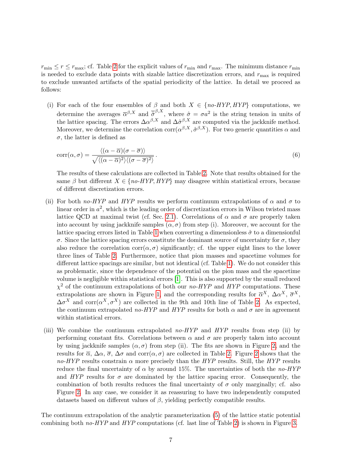$r_{\min} \leq r \leq r_{\max}$ ; cf. Table [2](#page-6-1) for the explicit values of  $r_{\min}$  and  $r_{\max}$ . The minimum distance  $r_{\min}$ is needed to exclude data points with sizable lattice discretization errors, and  $r_{\text{max}}$  is required to exclude unwanted artifacts of the spatial periodicity of the lattice. In detail we proceed as follows:

(i) For each of the four ensembles of  $\beta$  and both  $X \in \{no\text{-HYP}, \text{HYP}\}\$  computations, we determine the averages  $\overline{\alpha}^{\beta,X}$  and  $\overline{\hat{\sigma}}^{\beta,X}$ , where  $\hat{\sigma} = \sigma a^2$  is the string tension in units of the lattice spacing. The errors  $\Delta \alpha^{\beta,X}$  and  $\Delta \hat{\sigma}^{\beta,X}$  are computed via the jackknife method. Moreover, we determine the correlation  $\text{corr}(\alpha^{\beta,X}, \hat{\sigma}^{\beta,X})$ . For two generic quantities  $\alpha$  and  $\sigma$ , the latter is defined as

$$
corr(\alpha, \sigma) = \frac{\langle (\alpha - \overline{\alpha})(\sigma - \overline{\sigma}) \rangle}{\sqrt{\langle (\alpha - \overline{\alpha})^2 \rangle \langle (\sigma - \overline{\sigma})^2 \rangle}}.
$$
\n(6)

The results of these calculations are collected in Table [2.](#page-6-1) Note that results obtained for the same  $\beta$  but different  $X \in \{no\text{-}HYP, HYP\}$  may disagree within statistical errors, because of different discretization errors.

- (ii) For both no-HYP and HYP results we perform continuum extrapolations of  $\alpha$  and  $\sigma$  to linear order in  $a^2$ , which is the leading order of discretization errors in Wilson twisted mass lattice QCD at maximal twist (cf. Sec. [2.1\)](#page-4-3). Correlations of  $\alpha$  and  $\sigma$  are properly taken into account by using jackknife samples  $(\alpha, \sigma)$  from step (i). Moreover, we account for the lattice spacing errors listed in Table [1](#page-5-1) when converting a dimensionless  $\hat{\sigma}$  to a dimensionful  $\sigma$ . Since the lattice spacing errors constitute the dominant source of uncertainty for  $\sigma$ , they also reduce the correlation corr $(\alpha, \sigma)$  significantly; cf. the upper eight lines to the lower three lines of Table [2.](#page-6-1) Furthermore, notice that pion masses and spacetime volumes for different lattice spacings are similar, but not identical (cf. Table [1\)](#page-5-1). We do not consider this as problematic, since the dependence of the potential on the pion mass and the spacetime volume is negligible within statistical errors [\[1\]](#page-28-0). This is also supported by the small reduced  $\chi^2$  of the continuum extrapolations of both our no-HYP and HYP computations. These extrapolations are shown in Figure [1,](#page-8-0) and the corresponding results for  $\overline{\alpha}^X$ ,  $\Delta \alpha^X$ ,  $\overline{\sigma}^X$ ,  $\Delta \sigma^X$  and corr $(\alpha^X, \sigma^X)$  are collected in the 9th and 10th line of Table [2.](#page-6-1) As expected, the continuum extrapolated no-HYP and HYP results for both  $\alpha$  and  $\sigma$  are in agreement within statistical errors.
- (iii) We combine the continuum extrapolated no- $HYP$  and  $HYP$  results from step (ii) by performing constant fits. Correlations between  $\alpha$  and  $\sigma$  are properly taken into account by using jackknife samples  $(\alpha, \sigma)$  from step (ii). The fits are shown in Figure [2,](#page-9-0) and the results for  $\overline{\alpha}$ ,  $\Delta \alpha$ ,  $\overline{\sigma}$ ,  $\Delta \sigma$  and corr $(\alpha, \sigma)$  are collected in Table [2.](#page-6-1) Figure [2](#page-9-0) shows that the no-HYP results constrain  $\alpha$  more precisely than the HYP results. Still, the HYP results reduce the final uncertainty of  $\alpha$  by around 15%. The uncertainties of both the no-HYP and  $HYP$  results for  $\sigma$  are dominated by the lattice spacing error. Consequently, the combination of both results reduces the final uncertainty of  $\sigma$  only marginally; cf. also Figure [2.](#page-9-0) In any case, we consider it as reassuring to have two independently computed datasets based on different values of  $\beta$ , yielding perfectly compatible results.

The continuum extrapolation of the analytic parameterization [\(5\)](#page-6-0) of the lattice static potential combining both no-HYP and HYP computations (cf. last line of Table [2\)](#page-6-1) is shown in Figure [3.](#page-9-1)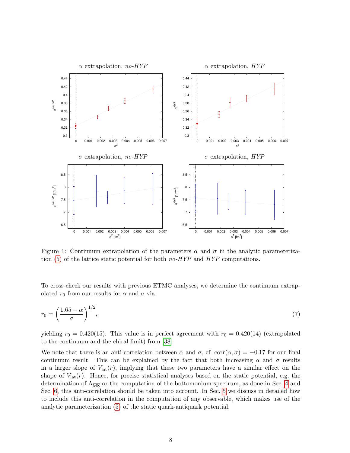<span id="page-8-0"></span>

Figure 1: Continuum extrapolation of the parameters  $\alpha$  and  $\sigma$  in the analytic parameteriza-tion [\(5\)](#page-6-0) of the lattice static potential for both  $no-HYP$  and  $HYP$  computations.

To cross-check our results with previous ETMC analyses, we determine the continuum extrapolated  $r_0$  from our results for  $\alpha$  and  $\sigma$  via

$$
r_0 = \left(\frac{1.65 - \alpha}{\sigma}\right)^{1/2},\tag{7}
$$

yielding  $r_0 = 0.420(15)$ . This value is in perfect agreement with  $r_0 = 0.420(14)$  (extrapolated to the continuum and the chiral limit) from [\[38\]](#page-30-3).

We note that there is an anti-correlation between  $\alpha$  and  $\sigma$ , cf. corr $(\alpha, \sigma) = -0.17$  for our final continuum result. This can be explained by the fact that both increasing  $\alpha$  and  $\sigma$  results in a larger slope of  $V_{\text{lat}}(r)$ , implying that these two parameters have a similar effect on the shape of  $V_{\text{lat}}(r)$ . Hence, for precise statistical analyses based on the static potential, e.g. the determination of  $\Lambda_{\overline{\text{MS}}}$  or the computation of the bottomonium spectrum, as done in Sec. [4](#page-15-0) and Sec. [6,](#page-22-0) this anti-correlation should be taken into account. In Sec. [5](#page-19-0) we discuss in detailed how to include this anti-correlation in the computation of any observable, which makes use of the analytic parameterization [\(5\)](#page-6-0) of the static quark-antiquark potential.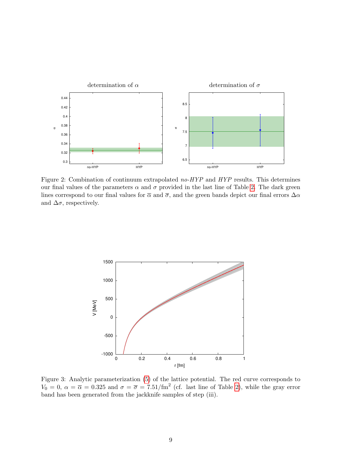<span id="page-9-0"></span>

Figure 2: Combination of continuum extrapolated no-HYP and HYP results. This determines our final values of the parameters  $\alpha$  and  $\sigma$  provided in the last line of Table [2.](#page-6-1) The dark green lines correspond to our final values for  $\bar{\alpha}$  and  $\bar{\sigma}$ , and the green bands depict our final errors  $\Delta \alpha$ and  $\Delta \sigma$ , respectively.

<span id="page-9-1"></span>

Figure 3: Analytic parameterization [\(5\)](#page-6-0) of the lattice potential. The red curve corresponds to  $V_0 = 0, \ \alpha = \overline{\alpha} = 0.325$  and  $\sigma = \overline{\sigma} = 7.51/\text{fm}^2$  (cf. last line of Table [2\)](#page-6-1), while the gray error band has been generated from the jackknife samples of step (iii).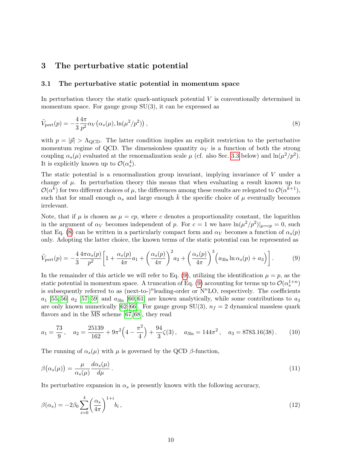## <span id="page-10-0"></span>3 The perturbative static potential

#### <span id="page-10-1"></span>3.1 The perturbative static potential in momentum space

<span id="page-10-2"></span>In perturbation theory the static quark-antiquark potential  $V$  is conventionally determined in momentum space. For gauge group  $SU(3)$ , it can be expressed as

$$
\tilde{V}_{\text{pert}}(p) = -\frac{4}{3} \frac{4\pi}{p^2} \alpha_V \left( \alpha_s(\mu), \ln(\mu^2/p^2) \right),\tag{8}
$$

with  $p = |\vec{p}| > \Lambda_{\text{QCD}}$ . The latter condition implies an explicit restriction to the perturbative momentum regime of QCD. The dimensionless quantity  $\alpha_V$  is a function of both the strong coupling  $\alpha_s(\mu)$  evaluated at the renormalization scale  $\mu$  (cf. also Sec. [3.3](#page-13-0) below) and  $\ln(\mu^2/p^2)$ . It is explicitly known up to  $\mathcal{O}(\alpha_s^4)$ .

The static potential is a renormalization group invariant, implying invariance of V under a change of  $\mu$ . In perturbation theory this means that when evaluating a result known up to  $\mathcal{O}(\alpha^{\vec{k}})$  for two different choices of  $\mu$ , the differences among these results are relegated to  $\mathcal{O}(\alpha^{\vec{k}+1})$ , such that for small enough  $\alpha_s$  and large enough k the specific choice of  $\mu$  eventually becomes irrelevant.

Note, that if  $\mu$  is chosen as  $\mu = cp$ , where c denotes a proportionality constant, the logarithm in the argument of  $\alpha_V$  becomes independent of p. For  $c = 1$  we have  $\ln(\mu^2/p^2)|_{\mu = cp} = 0$ , such that Eq. [\(8\)](#page-10-2) can be written in a particularly compact form and  $\alpha_V$  becomes a function of  $\alpha_s(p)$ only. Adopting the latter choice, the known terms of the static potential can be represented as

<span id="page-10-3"></span>
$$
\tilde{V}_{\text{pert}}(p) = -\frac{4}{3} \frac{4\pi \alpha_s(p)}{p^2} \left[ 1 + \frac{\alpha_s(p)}{4\pi} a_1 + \left(\frac{\alpha_s(p)}{4\pi}\right)^2 a_2 + \left(\frac{\alpha_s(p)}{4\pi}\right)^3 \left(a_{3\ln} \ln \alpha_s(p) + a_3\right) \right].\tag{9}
$$

In the remainder of this article we will refer to Eq. [\(9\)](#page-10-3), utilizing the identification  $\mu = p$ , as the static potential in momentum space. A truncation of Eq. [\(9\)](#page-10-3) accounting for terms up to  $\mathcal{O}(\alpha_s^{1+n})$ is subsequently referred to as  $(next-to-)$ <sup>n</sup>leading-order or  $N<sup>n</sup>LO$ , respectively. The coefficients  $a_1$  [\[55,](#page-31-8) [56\]](#page-31-9)  $a_2$  [\[57](#page-31-10)[–59\]](#page-31-11) and  $a_{3ln}$  [\[60,](#page-31-12) [61\]](#page-31-13) are known analytically, while some contributions to  $a_3$ are only known numerically [\[62–](#page-31-14)[66\]](#page-32-0). For gauge group SU(3),  $n_f = 2$  dynamical massless quark flavors and in the  $\overline{\text{MS}}$  scheme [\[67,](#page-32-1) [68\]](#page-32-2), they read

$$
a_1 = \frac{73}{9}, \quad a_2 = \frac{25139}{162} + 9\pi^2 \left(4 - \frac{\pi^2}{4}\right) + \frac{94}{3}\zeta(3), \quad a_{3\ln} = 144\pi^2, \quad a_3 = 8783.16(38). \tag{10}
$$

<span id="page-10-5"></span>The running of  $\alpha_s(\mu)$  with  $\mu$  is governed by the QCD  $\beta$ -function,

$$
\beta(\alpha_s(\mu)) = \frac{\mu}{\alpha_s(\mu)} \frac{d\alpha_s(\mu)}{d\mu} \,. \tag{11}
$$

Its perturbative expansion in  $\alpha_s$  is presently known with the following accuracy,

<span id="page-10-4"></span>
$$
\beta(\alpha_s) = -2\beta_0 \sum_{i=0}^4 \left(\frac{\alpha_s}{4\pi}\right)^{1+i} b_i , \qquad (12)
$$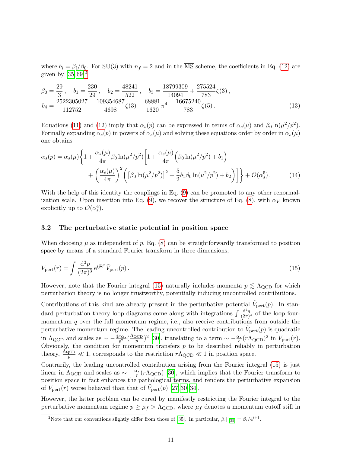where  $b_i = \frac{\beta_i}{\beta_0}$ . For SU(3) with  $n_f = 2$  and in the  $\overline{\text{MS}}$  scheme, the coefficients in Eq. [\(12\)](#page-10-4) are given by  $[35, 69]^2$  $[35, 69]^2$  $[35, 69]^2$  $[35, 69]^2$ 

$$
\beta_0 = \frac{29}{3}, \quad b_1 = \frac{230}{29}, \quad b_2 = \frac{48241}{522}, \quad b_3 = \frac{18799309}{14094} + \frac{275524}{783}\zeta(3), \n b_4 = \frac{2522305027}{112752} + \frac{109354687}{4698}\zeta(3) - \frac{68881}{1620}\pi^4 - \frac{16675240}{783}\zeta(5). \tag{13}
$$

Equations [\(11\)](#page-10-5) and [\(12\)](#page-10-4) imply that  $\alpha_s(p)$  can be expressed in terms of  $\alpha_s(\mu)$  and  $\beta_0 \ln(\mu^2/p^2)$ . Formally expanding  $\alpha_s(p)$  in powers of  $\alpha_s(\mu)$  and solving these equations order by order in  $\alpha_s(\mu)$ one obtains

$$
\alpha_s(p) = \alpha_s(\mu) \left\{ 1 + \frac{\alpha_s(\mu)}{4\pi} \beta_0 \ln(\mu^2/p^2) \left[ 1 + \frac{\alpha_s(\mu)}{4\pi} \left( \beta_0 \ln(\mu^2/p^2) + b_1 \right) \right] + \left( \frac{\alpha_s(\mu)}{4\pi} \right)^2 \left( \left[ \beta_0 \ln(\mu^2/p^2) \right]^2 + \frac{5}{2} b_1 \beta_0 \ln(\mu^2/p^2) + b_2 \right) \right] \right\} + \mathcal{O}(\alpha_s^5). \tag{14}
$$

With the help of this identity the couplings in Eq. [\(9\)](#page-10-3) can be promoted to any other renormal-ization scale. Upon insertion into Eq. [\(9\)](#page-10-3), we recover the structure of Eq. [\(8\)](#page-10-2), with  $\alpha_V$  known explicitly up to  $\mathcal{O}(\alpha_s^4)$ .

## <span id="page-11-0"></span>3.2 The perturbative static potential in position space

<span id="page-11-2"></span>When choosing  $\mu$  as independent of p, Eq. [\(8\)](#page-10-2) can be straightforwardly transformed to position space by means of a standard Fourier transform in three dimensions,

$$
V_{\text{pert}}(r) = \int \frac{\mathrm{d}^3 p}{(2\pi)^3} \,\mathrm{e}^{i\vec{p}\cdot\vec{r}} \,\tilde{V}_{\text{pert}}(p) \,. \tag{15}
$$

However, note that the Fourier integral [\(15\)](#page-11-2) naturally includes momenta  $p \lesssim \Lambda_{\text{QCD}}$  for which perturbation theory is no longer trustworthy, potentially inducing uncontrolled contributions.

Contributions of this kind are already present in the perturbative potential  $\tilde{V}_{\text{pert}}(p)$ . In standard perturbation theory loop diagrams come along with integrations  $\int \frac{d^4q}{(2\pi)^2}$  $\frac{d^2q}{(2\pi)^4}$  of the loop fourmomentum  $q$  over the full momentum regime, i.e., also receive contributions from outside the perturbative momentum regime. The leading uncontrolled contribution to  $\tilde{V}_{\text{pert}}(p)$  is quadratic in  $\Lambda_{\rm QCD}$  and scales as  $\sim -\frac{4\pi\alpha_s}{p^2}(\frac{\Lambda_{\rm QCD}}{p})$  $(\frac{p_{\text{CD}}}{p})^2$  [\[30\]](#page-30-10), translating to a term  $\sim -\frac{\alpha_s}{r} (r \Lambda_{\text{QCD}})^2$  in  $V_{\text{pert}}(r)$ . Obviously, the condition for momentum transfers  $p$  to be described reliably in perturbation theory,  $\frac{\Lambda_{\text{QCD}}}{p} \ll 1$ , corresponds to the restriction  $r\Lambda_{\text{QCD}} \ll 1$  in position space.

Contrarily, the leading uncontrolled contribution arising from the Fourier integral [\(15\)](#page-11-2) is just linear in  $\Lambda_{\text{QCD}}$  and scales as  $\sim -\frac{\alpha_s}{r}(r\Lambda_{\text{QCD}})$  [\[30\]](#page-30-10), which implies that the Fourier transform to position space in fact enhances the pathological terms, and renders the perturbative expansion of  $V_{\text{pert}}(r)$  worse behaved than that of  $\tilde{V}_{\text{pert}}(p)$  [\[27,](#page-29-3) [30](#page-30-10)[–34\]](#page-30-0).

However, the latter problem can be cured by manifestly restricting the Fourier integral to the perturbative momentum regime  $p \geq \mu_f > \Lambda_{\rm QCD}$ , where  $\mu_f$  denotes a momentum cutoff still in

<span id="page-11-1"></span><sup>&</sup>lt;sup>2</sup>Note that our conventions slightly differ from those of [\[35\]](#page-30-1). In particular,  $\beta_i|_{[35]} = \beta_i/4^{i+1}$ .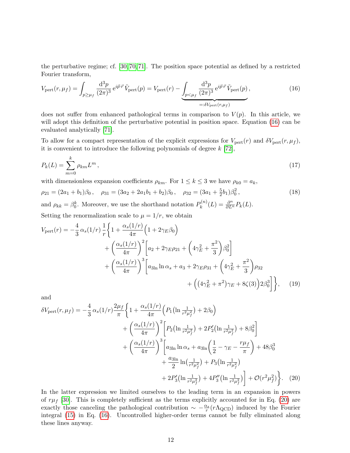<span id="page-12-0"></span>the perturbative regime; cf. [\[30,](#page-30-10) [70,](#page-32-4) [71\]](#page-32-5). The position space potential as defined by a restricted Fourier transform,

$$
V_{\text{pert}}(r,\mu_f) = \int_{p \ge \mu_f} \frac{\mathrm{d}^3 p}{(2\pi)^3} e^{i\vec{p}\cdot\vec{r}} \tilde{V}_{\text{pert}}(p) = V_{\text{pert}}(r) - \underbrace{\int_{p < \mu_f} \frac{\mathrm{d}^3 p}{(2\pi)^3} e^{i\vec{p}\cdot\vec{r}} \tilde{V}_{\text{pert}}(p)}_{=: \delta V_{\text{pert}}(r,\mu_f)},\tag{16}
$$

does not suffer from enhanced pathological terms in comparison to  $V(p)$ . In this article, we will adopt this definition of the perturbative potential in position space. Equation [\(16\)](#page-12-0) can be evaluated analytically [\[71\]](#page-32-5).

To allow for a compact representation of the explicit expressions for  $V_{\text{pert}}(r)$  and  $\delta V_{\text{pert}}(r,\mu_f)$ , it is convenient to introduce the following polynomials of degree  $k$  [\[72\]](#page-32-6),

$$
P_k(L) = \sum_{m=0}^{k} \rho_{km} L^m,
$$
\n(17)

with dimensionless expansion coefficients  $\rho_{km}$ . For  $1 \leq k \leq 3$  we have  $\rho_{k0} = a_k$ ,

$$
\rho_{21} = (2a_1 + b_1)\beta_0, \quad \rho_{31} = (3a_2 + 2a_1b_1 + b_2)\beta_0, \quad \rho_{32} = (3a_1 + \frac{5}{2}b_1)\beta_0^2,
$$
\n(18)

and  $\rho_{kk} = \beta_0^k$ . Moreover, we use the shorthand notation  $P_k^{(n)}$  $p_k^{(n)}(L) = \frac{\partial^n}{\partial L^n} P_k(L).$ 

Setting the renormalization scale to  $\mu = 1/r$ , we obtain

$$
V_{\text{pert}}(r) = -\frac{4}{3} \alpha_s (1/r) \frac{1}{r} \left\{ 1 + \frac{\alpha_s (1/r)}{4\pi} \left( 1 + 2\gamma_E \beta_0 \right) \right.+ \left. \left( \frac{\alpha_s (1/r)}{4\pi} \right)^2 \left[ a_2 + 2\gamma_E \rho_{21} + \left( 4\gamma_E^2 + \frac{\pi^2}{3} \right) \beta_0^2 \right] \right.+ \left. \left( \frac{\alpha_s (1/r)}{4\pi} \right)^3 \left[ a_{3\ln} \ln \alpha_s + a_3 + 2\gamma_E \rho_{31} + \left( 4\gamma_E^2 + \frac{\pi^2}{3} \right) \rho_{32} \right.+ \left. \left( \left( 4\gamma_E^2 + \pi^2 \right) \gamma_E + 8\zeta(3) \right) 2\beta_0^3 \right] \right\}, \quad (19)
$$

and

$$
\delta V_{\text{pert}}(r,\mu_f) = -\frac{4}{3} \alpha_s (1/r) \frac{2\mu_f}{\pi} \left\{ 1 + \frac{\alpha_s (1/r)}{4\pi} \left( P_1 \left( \ln \frac{1}{r^2 \mu_f^2} \right) + 2\beta_0 \right) \right.\left. + \left( \frac{\alpha_s (1/r)}{4\pi} \right)^2 \left[ P_2 \left( \ln \frac{1}{r^2 \mu_f^2} \right) + 2P'_2 \left( \ln \frac{1}{r^2 \mu_f^2} \right) + 8\beta_0^2 \right] \right.\left. + \left( \frac{\alpha_s (1/r)}{4\pi} \right)^3 \left[ a_{3\ln} \ln \alpha_s + a_{3\ln} \left( \frac{1}{2} - \gamma_E - \frac{r\mu_f}{\pi} \right) + 48\beta_0^3 \right. \right.\left. + \frac{a_{3\ln}}{2} \ln \left( \frac{1}{r^2 \mu_f^2} \right) + P_3 \left( \ln \frac{1}{r^2 \mu_f^2} \right) \right.\left. + 2P'_3 \left( \ln \frac{1}{r^2 \mu_f^2} \right) + 4P''_3 \left( \ln \frac{1}{r^2 \mu_f^2} \right) \right\}.
$$
 (20)

<span id="page-12-1"></span>In the latter expression we limited ourselves to the leading term in an expansion in powers of  $r\mu_f$  [\[30\]](#page-30-10). This is completely sufficient as the terms explicitly accounted for in Eq. [\(20\)](#page-12-1) are exactly those canceling the pathological contribution  $\sim -\frac{\alpha_s}{r}(r\Lambda_{\rm QCD})$  induced by the Fourier integral [\(15\)](#page-11-2) in Eq. [\(16\)](#page-12-0). Uncontrolled higher-order terms cannot be fully eliminated along these lines anyway.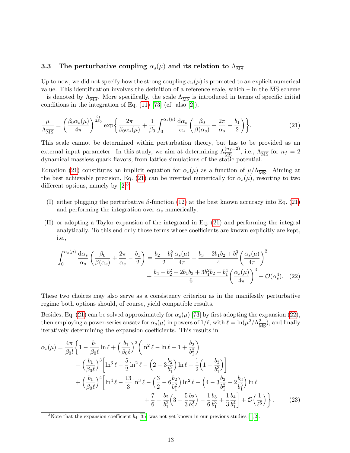## <span id="page-13-0"></span>3.3 The perturbative coupling  $\alpha_s(\mu)$  and its relation to  $\Lambda_{\overline{\text{MS}}}$

Up to now, we did not specify how the strong coupling  $\alpha_s(\mu)$  is promoted to an explicit numerical value. This identification involves the definition of a reference scale, which – in the  $\overline{\text{MS}}$  scheme – is denoted by  $\Lambda_{\overline{\text{MS}}}$ . More specifically, the scale  $\Lambda_{\overline{\text{MS}}}$  is introduced in terms of specific initial conditions in the integration of Eq.  $(11)$  [\[73\]](#page-32-7) (cf. also [\[2\]](#page-28-1)),

<span id="page-13-1"></span>
$$
\frac{\mu}{\Lambda_{\overline{\rm MS}}} = \left(\frac{\beta_0 \alpha_s(\mu)}{4\pi}\right)^{\frac{b_1}{2\beta_0}} \exp\left\{\frac{2\pi}{\beta_0 \alpha_s(\mu)} + \frac{1}{\beta_0} \int_0^{\alpha_s(\mu)} \frac{d\alpha_s}{\alpha_s} \left(\frac{\beta_0}{\beta(\alpha_s)} + \frac{2\pi}{\alpha_s} - \frac{b_1}{2}\right) \right\}.
$$
 (21)

This scale cannot be determined within perturbation theory, but has to be provided as an external input parameter. In this study, we aim at determining  $\Lambda_{\overline{\rm MS}}^{(n_f=2)}$ , i.e.,  $\Lambda_{\overline{\rm MS}}$  for  $n_f = 2$ dynamical massless quark flavors, from lattice simulations of the static potential.

Equation [\(21\)](#page-13-1) constitutes an implicit equation for  $\alpha_s(\mu)$  as a function of  $\mu/\Lambda_{\overline{MS}}$ . Aiming at the best achievable precision, Eq. [\(21\)](#page-13-1) can be inverted numerically for  $\alpha_s(\mu)$ , resorting to two different options, namely by  $[2]^3$  $[2]^3$  $[2]^3$ 

- (I) either plugging the perturbative  $\beta$ -function [\(12\)](#page-10-4) at the best known accuracy into Eq. [\(21\)](#page-13-1) and performing the integration over  $\alpha_s$  numerically,
- (II) or adopting a Taylor expansion of the integrand in Eq. [\(21\)](#page-13-1) and performing the integral analytically. To this end only those terms whose coefficients are known explicitly are kept, i.e.,

<span id="page-13-3"></span>
$$
\int_0^{\alpha_s(\mu)} \frac{d\alpha_s}{\alpha_s} \left( \frac{\beta_0}{\beta(\alpha_s)} + \frac{2\pi}{\alpha_s} - \frac{b_1}{2} \right) = \frac{b_2 - b_1^2}{2} \frac{\alpha_s(\mu)}{4\pi} + \frac{b_3 - 2b_1b_2 + b_1^3}{4} \left( \frac{\alpha_s(\mu)}{4\pi} \right)^2 + \frac{b_4 - b_2^2 - 2b_1b_3 + 3b_1^2b_2 - b_1^4}{6} \left( \frac{\alpha_s(\mu)}{4\pi} \right)^3 + \mathcal{O}(\alpha_s^4). \tag{22}
$$

These two choices may also serve as a consistency criterion as in the manifestly perturbative regime both options should, of course, yield compatible results.

Besides, Eq. [\(21\)](#page-13-1) can be solved approximately for  $\alpha_s(\mu)$  [\[73\]](#page-32-7) by first adopting the expansion [\(22\)](#page-13-3), then employing a power-series ansatz for  $\alpha_s(\mu)$  in powers of  $1/\ell$ , with  $\ell = \ln(\mu^2/\Lambda_{\overline{\text{MS}}}^2)$ , and finally iteratively determining the expansion coefficients. This results in

$$
\alpha_{s}(\mu) = \frac{4\pi}{\beta_{0}l} \left\{ 1 - \frac{b_{1}}{\beta_{0}\ell} \ln \ell + \left(\frac{b_{1}}{\beta_{0}\ell}\right)^{2} \left( \ln^{2} \ell - \ln \ell - 1 + \frac{b_{2}}{b_{1}^{2}} \right) \right\}
$$

$$
- \left(\frac{b_{1}}{\beta_{0}\ell}\right)^{3} \left[ \ln^{3} \ell - \frac{5}{2} \ln^{2} \ell - \left( 2 - 3\frac{b_{2}}{b_{1}^{2}} \right) \ln \ell + \frac{1}{2} \left( 1 - \frac{b_{3}}{b_{1}^{3}} \right) \right]
$$

$$
+ \left(\frac{b_{1}}{\beta_{0}\ell}\right)^{4} \left[ \ln^{4} \ell - \frac{13}{3} \ln^{3} \ell - \left(\frac{3}{2} - 6\frac{b_{2}}{b_{1}^{2}}\right) \ln^{2} \ell + \left( 4 - 3\frac{b_{2}}{b_{1}^{2}} - 2\frac{b_{3}}{b_{1}^{3}} \right) \ln \ell + \frac{7}{6} - \frac{b_{2}}{b_{1}^{2}} \left( 3 - \frac{5}{3} \frac{b_{2}}{b_{1}^{2}} \right) - \frac{1}{6} \frac{b_{3}}{b_{1}^{3}} + \frac{1}{3} \frac{b_{4}}{b_{1}^{4}} \right\} + \mathcal{O}\left(\frac{1}{\ell^{5}}\right) \right\}.
$$
(23)

<span id="page-13-4"></span><span id="page-13-2"></span><sup>&</sup>lt;sup>3</sup>Note that the expansion coefficient  $b_4$  [\[35\]](#page-30-1) was not yet known in our previous studies [\[1,](#page-28-0)2].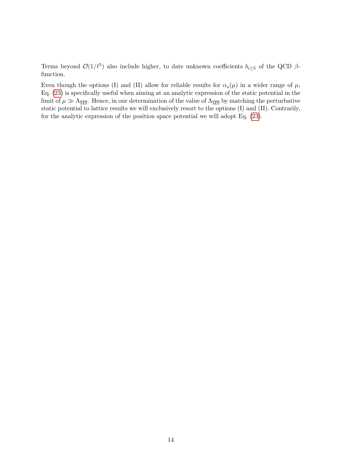Terms beyond  $\mathcal{O}(1/\ell^5)$  also include higher, to date unknown coefficients  $b_{i\geq 5}$  of the QCD  $\beta$ function.

Even though the options (I) and (II) allow for reliable results for  $\alpha_s(\mu)$  in a wider range of  $\mu$ , Eq. [\(23\)](#page-13-4) is specifically useful when aiming at an analytic expression of the static potential in the limit of  $\mu \gg \Lambda_{\overline{\text{MS}}}$ . Hence, in our determination of the value of  $\Lambda_{\overline{\text{MS}}}$  by matching the perturbative static potential to lattice results we will exclusively resort to the options (I) and (II). Contrarily, for the analytic expression of the position space potential we will adopt Eq. [\(23\)](#page-13-4).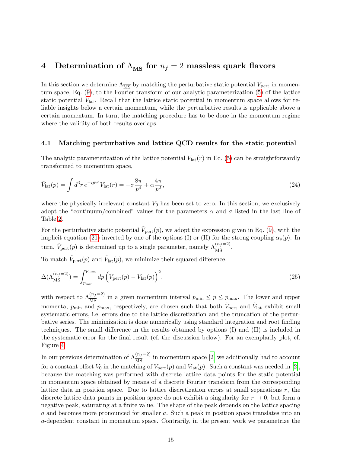## <span id="page-15-0"></span>4 Determination of  $\Lambda_{\overline{\text{MS}}}$  for  $n_f = 2$  massless quark flavors

In this section we determine  $\Lambda_{\overline{\rm MS}}$  by matching the perturbative static potential  $\tilde{V}_{\rm pert}$  in momentum space, Eq. [\(9\)](#page-10-3), to the Fourier transform of our analytic parameterization [\(5\)](#page-6-0) of the lattice static potential  $V_{\text{lat}}$ . Recall that the lattice static potential in momentum space allows for reliable insights below a certain momentum, while the perturbative results is applicable above a certain momentum. In turn, the matching procedure has to be done in the momentum regime where the validity of both results overlaps.

#### <span id="page-15-2"></span>4.1 Matching perturbative and lattice QCD results for the static potential

The analytic parameterization of the lattice potential  $V_{\text{lat}}(r)$  in Eq. [\(5\)](#page-6-0) can be straightforwardly transformed to momentum space,

<span id="page-15-1"></span>
$$
\tilde{V}_{\text{lat}}(p) = \int d^3 r \, e^{-i \vec{p} \cdot \vec{r}} \, V_{\text{lat}}(r) = -\sigma \frac{8\pi}{p^4} + \alpha \frac{4\pi}{p^2},\tag{24}
$$

where the physically irrelevant constant  $V_0$  has been set to zero. In this section, we exclusively adopt the "continuum/combined" values for the parameters  $\alpha$  and  $\sigma$  listed in the last line of Table [2.](#page-6-1)

For the perturbative static potential  $\tilde{V}_{\text{pert}}(p)$ , we adopt the expression given in Eq. [\(9\)](#page-10-3), with the implicit equation [\(21\)](#page-13-1) inverted by one of the options (I) or (II) for the strong coupling  $\alpha_s(p)$ . In turn,  $\tilde{V}_{\text{pert}}(p)$  is determined up to a single parameter, namely  $\Lambda_{\overline{\text{MS}}}^{(n_f=2)}$ .

To match  $\tilde{V}_{\text{pert}}(p)$  and  $\tilde{V}_{\text{lat}}(p)$ , we minimize their squared difference,

$$
\Delta(\Lambda_{\overline{\text{MS}}}^{(n_f=2)}) = \int_{p_{\text{min}}}^{p_{\text{max}}} dp \left(\tilde{V}_{\text{pert}}(p) - \tilde{V}_{\text{lat}}(p)\right)^2,\tag{25}
$$

with respect to  $\Lambda_{\overline{\text{MS}}}^{(n_f=2)}$  in a given momentum interval  $p_{\text{min}} \leq p \leq p_{\text{max}}$ . The lower and upper momenta,  $p_{\min}$  and  $p_{\max}$ , respectively, are chosen such that both  $\tilde{V}_{\text{pert}}$  and  $\tilde{V}_{\text{lat}}$  exhibit small systematic errors, i.e. errors due to the lattice discretization and the truncation of the perturbative series. The minimization is done numerically using standard integration and root finding techniques. The small difference in the results obtained by options (I) and (II) is included in the systematic error for the final result (cf. the discussion below). For an exemplarily plot, cf. Figure [4.](#page-16-0)

In our previous determination of  $\Lambda_{\overline{\text{MS}}}^{(n_f=2)}$  in momentum space [\[2\]](#page-28-1) we additionally had to account for a constant offset  $\tilde{V}_0$  in the matching of  $\tilde{V}_{\text{pert}}(p)$  and  $\tilde{V}_{\text{lat}}(p)$ . Such a constant was needed in [\[2\]](#page-28-1), because the matching was performed with discrete lattice data points for the static potential in momentum space obtained by means of a discrete Fourier transform from the corresponding lattice data in position space. Due to lattice discretization errors at small separations  $r$ , the discrete lattice data points in position space do not exhibit a singularity for  $r \to 0$ , but form a negative peak, saturating at a finite value. The shape of the peak depends on the lattice spacing a and becomes more pronounced for smaller a. Such a peak in position space translates into an a-dependent constant in momentum space. Contrarily, in the present work we parametrize the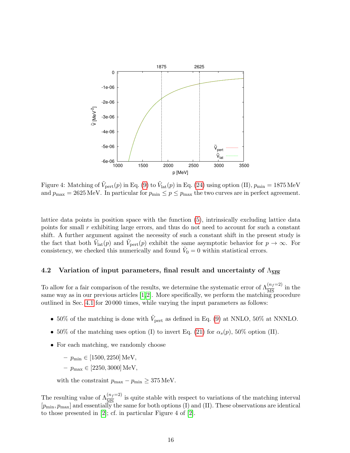<span id="page-16-0"></span>

Figure 4: Matching of  $\tilde{V}_{\text{pert}}(p)$  in Eq. [\(9\)](#page-10-3) to  $\tilde{V}_{\text{lat}}(p)$  in Eq. [\(24\)](#page-15-1) using option (II),  $p_{\min} = 1875 \text{ MeV}$ and  $p_{\text{max}} = 2625 \text{ MeV}$ . In particular for  $p_{\text{min}} \leq p \leq p_{\text{max}}$  the two curves are in perfect agreement.

lattice data points in position space with the function [\(5\)](#page-6-0), intrinsically excluding lattice data points for small r exhibiting large errors, and thus do not need to account for such a constant shift. A further argument against the necessity of such a constant shift in the present study is the fact that both  $\tilde{V}_{\text{lat}}(p)$  and  $\tilde{V}_{\text{pert}}(p)$  exhibit the same asymptotic behavior for  $p \to \infty$ . For consistency, we checked this numerically and found  $\tilde{V}_0 = 0$  within statistical errors.

## 4.2 Variation of input parameters, final result and uncertainty of  $\Lambda_{\overline{\rm MS}}$

To allow for a fair comparison of the results, we determine the systematic error of  $\Lambda_{\overline{\rm MS}}^{(n_f=2)}$  in the same way as in our previous articles  $[1,2]$  $[1,2]$ . More specifically, we perform the matching procedure outlined in Sec. [4.1](#page-15-2) for 20 000 times, while varying the input parameters as follows:

- 50% of the matching is done with  $\tilde{V}_{\text{pert}}$  as defined in Eq. [\(9\)](#page-10-3) at NNLO, 50% at NNNLO.
- 50% of the matching uses option (I) to invert Eq. [\(21\)](#page-13-1) for  $\alpha_s(p)$ , 50% option (II).
- For each matching, we randomly choose

 $-p_{\min} \in [1500, 2250] \text{ MeV},$ 

 $-p_{\text{max}} \in [2250, 3000] \text{ MeV},$ 

with the constraint  $p_{\text{max}} - p_{\text{min}} \geq 375 \text{ MeV}.$ 

The resulting value of  $\Lambda_{\overline{\text{MS}}}^{(n_f=2)}$  is quite stable with respect to variations of the matching interval  $[p_{\min}, p_{\max}]$  and essentially the same for both options (I) and (II). These observations are identical to those presented in [\[2\]](#page-28-1); cf. in particular Figure 4 of [\[2\]](#page-28-1).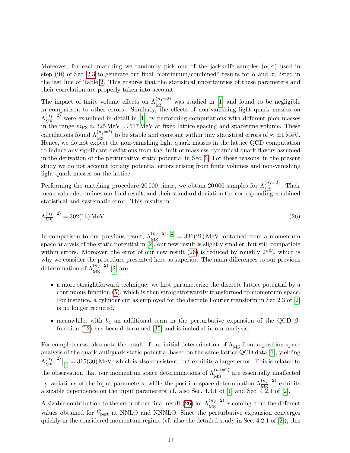Moreover, for each matching we randomly pick one of the jackknife samples  $(\alpha, \sigma)$  used in step (iii) of Sec. [2.3](#page-5-0) to generate our final "continuum/combined" results for  $\alpha$  and  $\sigma$ , listed in the last line of Table [2.](#page-6-1) This ensures that the statistical uncertainties of these parameters and their correlation are properly taken into account.

The impact of finite volume effects on  $\Lambda_{\overline{\text{MS}}}^{(n_f=2)}$  was studied in [\[1\]](#page-28-0) and found to be negligible in comparison to other errors. Similarly, the effects of non-vanishing light quark masses on  $\Lambda_{\overline{\text{MS}}}^{(n_f=2)}$  were examined in detail in [\[1\]](#page-28-0) by performing computations with different pion masses in the range  $m_{PS} \approx 325 \,\text{MeV} \dots 517 \,\text{MeV}$  at fixed lattice spacing and spacetime volume. These calculations found  $\Lambda_{\overline{\text{MS}}}^{(n_f=2)}$  to be stable and constant within tiny statistical errors of  $\approx \pm 1 \text{ MeV}$ . Hence, we do not expect the non-vanishing light quark masses in the lattice QCD computation to induce any significant deviations from the limit of massless dynamical quark flavors assumed in the derivation of the perturbative static potential in Sec. [3.](#page-10-0) For these reasons, in the present study we do not account for any potential errors arising from finite volumes and non-vanishing light quark masses on the lattice.

<span id="page-17-0"></span>Performing the matching procedure 20 000 times, we obtain 20 000 samples for  $\Lambda_{\overline{MS}}^{(n_f=2)}$ . Their mean value determines our final result, and their standard deviation the corresponding combined statistical and systematic error. This results in

$$
\Lambda_{\overline{\rm MS}}^{(n_f=2)} = 302(16) \,\text{MeV}.\tag{26}
$$

In comparison to our previous result,  $\Lambda_{\overline{MS}}^{(n_f=2), [2]} = 331(21) \text{ MeV}$  $\Lambda_{\overline{MS}}^{(n_f=2), [2]} = 331(21) \text{ MeV}$  $\Lambda_{\overline{MS}}^{(n_f=2), [2]} = 331(21) \text{ MeV}$ , obtained from a momentum space analysis of the static potential in [\[2\]](#page-28-1), our new result is slightly smaller, but still compatible within errors. Moreover, the error of our new result  $(26)$  is reduced by roughly  $25\%$ , which is why we consider the procedure presented here as superior. The main differences to our previous determination of  $\Lambda_{\overline{\text{MS}}}^{(n_f=2)}$  [\[2\]](#page-28-1) are

- a more straightforward technique: we first parameterize the discrete lattice potential by a continuous function [\(5\)](#page-6-0), which is then straightforwardly transformed to momentum space. For instance, a cylinder cut as employed for the discrete Fourier transform in Sec 2.3 of [\[2\]](#page-28-1) is no longer required.
- meanwhile, with  $b_4$  an additional term in the perturbative expansion of the QCD  $\beta$ function [\(12\)](#page-10-4) has been determined [\[35\]](#page-30-1) and is included in our analysis.

For completeness, also note the result of our initial determination of  $\Lambda_{\overline{\text{MS}}}$  from a position space analysis of the quark-antiquark static potential based on the same lattice QCD data [\[1\]](#page-28-0), yielding  $\Lambda_{\overline{\rm MS}}^{(n_f=2)}$  $\frac{(n_f=2)}{\overline{\rm MS}}\Big|_{[1]}=315(30)$  $\frac{(n_f=2)}{\overline{\rm MS}}\Big|_{[1]}=315(30)$  $\frac{(n_f=2)}{\overline{\rm MS}}\Big|_{[1]}=315(30)$  MeV, which is also consistent, but exhibits a larger error. This is related to the observation that our momentum space determinations of  $\Lambda_{\overline{\rm MS}}^{(n_f=2)}$  are essentially unaffected by variations of the input parameters, while the position space determination  $\Lambda_{\overline{MS}}^{(n_f=2)}$  exhibits a sizable dependence on the input parameters; cf. also Sec. 4.3.1 of [\[1\]](#page-28-0) and Sec. 4.2.1 of [\[2\]](#page-28-1).

A sizable contribution to the error of our final result [\(26\)](#page-17-0) for  $\Lambda_{\overline{\rm MS}}^{(n_f=2)}$  is coming from the different values obtained for  $\tilde{V}_{\text{pert}}$  at NNLO and NNNLO. Since the perturbative expansion converges quickly in the considered momentum regime (cf. also the detailed study in Sec. 4.2.1 of  $[2]$ ), this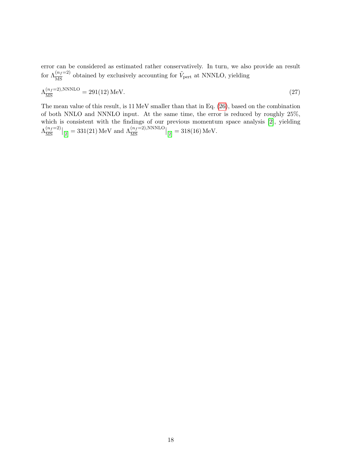error can be considered as estimated rather conservatively. In turn, we also provide an result for  $\Lambda_{\overline{\rm MS}}^{(n_f=2)}$  obtained by exclusively accounting for  $\tilde{V}_{\rm pert}$  at NNNLO, yielding

$$
\Lambda_{\overline{\rm MS}}^{(n_f=2),\rm NNNLO} = 291(12)\,{\rm MeV}.\tag{27}
$$

The mean value of this result, is 11 MeV smaller than that in Eq. [\(26\)](#page-17-0), based on the combination of both NNLO and NNNLO input. At the same time, the error is reduced by roughly 25%, which is consistent with the findings of our previous momentum space analysis [\[2\]](#page-28-1), yielding  $\Lambda_{\overline{\rm MS}}^{(n_f=2)}$  $\left.\frac{(n_f=2)}{\overline{\rm MS}}\right|_{[2]} = 331(21) \, {\rm MeV} \; {\rm and} \; \Lambda_{\overline{\rm MS}}^{(n_f=2),{\rm NNNLO}}\Big|_{[2]} = 318(16) \, {\rm MeV}.$  $\left.\frac{(n_f=2)}{\overline{\rm MS}}\right|_{[2]} = 331(21) \, {\rm MeV} \; {\rm and} \; \Lambda_{\overline{\rm MS}}^{(n_f=2),{\rm NNNLO}}\Big|_{[2]} = 318(16) \, {\rm MeV}.$  $\left.\frac{(n_f=2)}{\overline{\rm MS}}\right|_{[2]} = 331(21) \, {\rm MeV} \; {\rm and} \; \Lambda_{\overline{\rm MS}}^{(n_f=2),{\rm NNNLO}}\Big|_{[2]} = 318(16) \, {\rm MeV}.$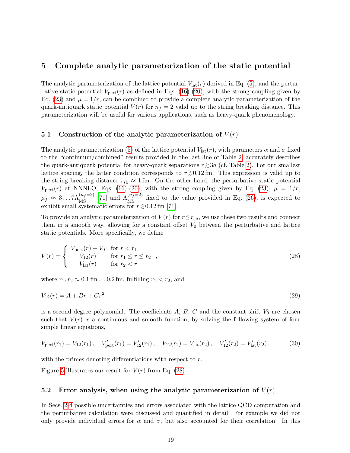## <span id="page-19-0"></span>5 Complete analytic parameterization of the static potential

The analytic parameterization of the lattice potential  $V_{\text{lat}}(r)$  derived in Eq. [\(5\)](#page-6-0), and the perturbative static potential  $V_{\text{pert}}(r)$  as defined in Eqs. [\(16\)](#page-12-0)-[\(20\)](#page-12-1), with the strong coupling given by Eq. [\(23\)](#page-13-4) and  $\mu = 1/r$ , can be combined to provide a complete analytic parameterization of the quark-antiquark static potential  $V(r)$  for  $n_f = 2$  valid up to the string breaking distance. This parameterization will be useful for various applications, such as heavy-quark phenomenology.

#### 5.1 Construction of the analytic parameterization of  $V(r)$

The analytic parameterization [\(5\)](#page-6-0) of the lattice potential  $V_{\text{lat}}(r)$ , with parameters  $\alpha$  and  $\sigma$  fixed to the "continuum/combined" results provided in the last line of Table [2,](#page-6-1) accurately describes the quark-antiquark potential for heavy-quark separations  $r \gtrsim 3a$  (cf. Table [2\)](#page-6-1). For our smallest lattice spacing, the latter condition corresponds to  $r \gtrsim 0.12 \,\text{fm}$ . This expression is valid up to the string breaking distance  $r_{sb} \approx 1$  fm. On the other hand, the perturbative static potential  $V_{\text{pert}}(r)$  at NNNLO, Eqs. [\(16\)](#page-12-0)-[\(20\)](#page-12-1), with the strong coupling given by Eq. [\(23\)](#page-13-4),  $\mu = 1/r$ ,  $\mu_f \approx 3...7\Lambda_{\overline{\rm MS}}^{(n_f=2)}$  [\[71\]](#page-32-5) and  $\Lambda_{\overline{\rm MS}}^{(n_f=2)}$  fixed to the value provided in Eq. [\(26\)](#page-17-0), is expected to exhibit small systematic errors for  $r \lesssim 0.12$  fm [\[71\]](#page-32-5).

To provide an analytic parameterization of  $V(r)$  for  $r \lesssim r_{\rm sb}$ , we use these two results and connect them in a smooth way, allowing for a constant offset  $V_0$  between the perturbative and lattice static potentials. More specifically, we define

<span id="page-19-1"></span>
$$
V(r) = \begin{cases} V_{\text{pert}}(r) + V_0 & \text{for } r < r_1 \\ V_{12}(r) & \text{for } r_1 \le r \le r_2 \\ V_{\text{lat}}(r) & \text{for } r_2 < r \end{cases} \tag{28}
$$

where  $r_1, r_2 \approx 0.1$  fm . . . 0.2 fm, fulfilling  $r_1 < r_2$ , and

$$
V_{12}(r) = A + Br + Cr^2
$$
\n(29)

is a second degree polynomial. The coefficients  $A, B, C$  and the constant shift  $V_0$  are chosen such that  $V(r)$  is a continuous and smooth function, by solving the following system of four simple linear equations,

$$
V_{\text{pert}}(r_1) = V_{12}(r_1), \quad V_{\text{pert}}'(r_1) = V_{12}'(r_1), \quad V_{12}(r_2) = V_{\text{lat}}(r_2), \quad V_{12}'(r_2) = V_{\text{lat}}'(r_2), \tag{30}
$$

with the primes denoting differentiations with respect to r.

Figure [5](#page-20-0) illustrates our result for  $V(r)$  from Eq. [\(28\)](#page-19-1).

## <span id="page-19-2"></span>5.2 Error analysis, when using the analytic parameterization of  $V(r)$

In Secs. [2-](#page-4-0)[4](#page-15-0) possible uncertainties and errors associated with the lattice QCD computation and the perturbative calculation were discussed and quantified in detail. For example we did not only provide individual errors for  $\alpha$  and  $\sigma$ , but also accounted for their correlation. In this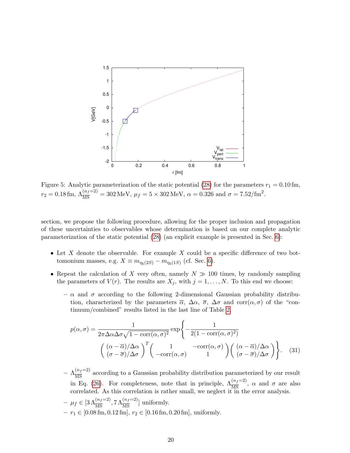<span id="page-20-0"></span>

Figure 5: Analytic parameterization of the static potential [\(28\)](#page-19-1) for the parameters  $r_1 = 0.10 \,\text{fm}$ ,  $r_2 = 0.18 \,\text{fm}, \, \Lambda_{\overline{\text{MS}}}^{(n_f=2)} = 302 \,\text{MeV}, \, \mu_f = 5 \times 302 \,\text{MeV}, \, \alpha = 0.326 \,\text{and } \sigma = 7.52/\text{fm}^2.$ 

section, we propose the following procedure, allowing for the proper inclusion and propagation of these uncertainties to observables whose determination is based on our complete analytic parameterization of the static potential [\(28\)](#page-19-1) (an explicit example is presented in Sec. [6\)](#page-22-0):

- Let  $X$  denote the observable. For example  $X$  could be a specific difference of two bottomonium masses, e.g.  $X \equiv m_{\eta_b(2S)} - m_{\eta_b(1S)}$  (cf. Sec. [6\)](#page-22-0).
- Repeat the calculation of X very often, namely  $N \gg 100$  times, by randomly sampling the parameters of  $V(r)$ . The results are  $X_j$ , with  $j = 1, ..., N$ . To this end we choose:
	- $-\alpha$  and  $\sigma$  according to the following 2-dimensional Gaussian probability distribution, characterized by the parameters  $\overline{\alpha}$ ,  $\Delta \alpha$ ,  $\overline{\sigma}$ ,  $\Delta \sigma$  and corr( $\alpha$ ,  $\sigma$ ) of the "continuum/combined" results listed in the last line of Table [2,](#page-6-1)

$$
p(\alpha, \sigma) = \frac{1}{2\pi \Delta \alpha \Delta \sigma \sqrt{1 - \text{corr}(\alpha, \sigma)^2}} \exp\left\{-\frac{1}{2(1 - \text{corr}(\alpha, \sigma)^2)}\right\}
$$

$$
\left(\frac{(\alpha - \overline{\alpha})/\Delta \alpha}{(\sigma - \overline{\sigma})/\Delta \sigma}\right)^T \left(\frac{1}{-\text{corr}(\alpha, \sigma)} - \frac{\text{corr}(\alpha, \sigma)}{1}\right) \left(\frac{(\alpha - \overline{\alpha})/\Delta \alpha}{(\sigma - \overline{\sigma})/\Delta \sigma}\right). \quad (31)
$$

- $-\Lambda_{\overline{\rm MS}}^{(n_f=2)}$  according to a Gaussian probability distribution parameterized by our result in Eq. [\(26\)](#page-17-0). For completeness, note that in principle,  $\Lambda_{\overline{\rm MS}}^{(n_f=2)}$ ,  $\alpha$  and  $\sigma$  are also correlated. As this correlation is rather small, we neglect it in the error analysis.  $- \mu_f \in [3 \Lambda_{\overline{\text{MS}}}^{(n_f=2)}, 7 \Lambda_{\overline{\text{MS}}}^{(n_f=2)}]$  uniformly.
- $r_1 \in [0.08 \text{ fm}, 0.12 \text{ fm}], r_2 \in [0.16 \text{ fm}, 0.20 \text{ fm}],$  uniformly.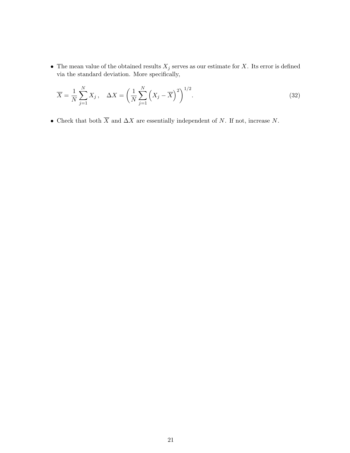• The mean value of the obtained results  $X_j$  serves as our estimate for X. Its error is defined via the standard deviation. More specifically,

$$
\overline{X} = \frac{1}{N} \sum_{j=1}^{N} X_j, \quad \Delta X = \left(\frac{1}{N} \sum_{j=1}^{N} \left(X_j - \overline{X}\right)^2\right)^{1/2}.
$$
\n(32)

• Check that both  $\overline{X}$  and  $\Delta X$  are essentially independent of N. If not, increase N.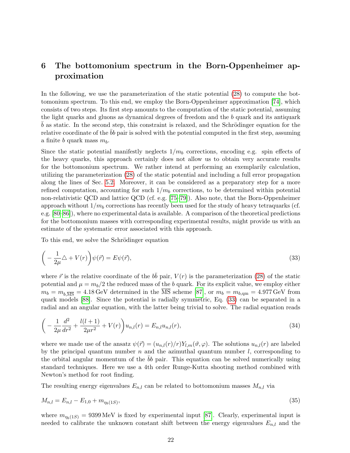## <span id="page-22-0"></span>6 The bottomonium spectrum in the Born-Oppenheimer approximation

In the following, we use the parameterization of the static potential [\(28\)](#page-19-1) to compute the bottomonium spectrum. To this end, we employ the Born-Oppenheimer approximation [\[74\]](#page-32-8), which consists of two steps. Its first step amounts to the computation of the static potential, assuming the light quarks and gluons as dynamical degrees of freedom and the b quark and its antiquark  $b$  as static. In the second step, this constraint is relaxed, and the Schrödinger equation for the relative coordinate of the  $bb$  pair is solved with the potential computed in the first step, assuming a finite b quark mass  $m_b$ .

Since the static potential manifestly neglects  $1/m_b$  corrections, encoding e.g. spin effects of the heavy quarks, this approach certainly does not allow us to obtain very accurate results for the bottomonium spectrum. We rather intend at performing an exemplarily calculation, utilizing the parameterization [\(28\)](#page-19-1) of the static potential and including a full error propagation along the lines of Sec. [5.2.](#page-19-2) Moreover, it can be considered as a preparatory step for a more refined computation, accounting for such  $1/m_b$  corrections, to be determined within potential non-relativistic QCD and lattice QCD (cf. e.g. [\[75–](#page-32-9)[79\]](#page-32-10)). Also note, that the Born-Oppenheimer approach without  $1/m_b$  corrections has recently been used for the study of heavy tetraquarks (cf. e.g. [\[80–](#page-33-0)[86\]](#page-33-1)), where no experimental data is available. A comparison of the theoretical predictions for the bottomonium masses with corresponding experimental results, might provide us with an estimate of the systematic error associated with this approach.

To this end, we solve the Schrödinger equation

<span id="page-22-1"></span>
$$
\left(-\frac{1}{2\mu}\triangle + V(r)\right)\psi(\vec{r}) = E\psi(\vec{r}),\tag{33}
$$

where  $\vec{r}$  is the relative coordinate of the  $b\bar{b}$  pair,  $V(r)$  is the parameterization [\(28\)](#page-19-1) of the static potential and  $\mu = m_b/2$  the reduced mass of the b quark. For its explicit value, we employ either  $m_b = m_{b,\overline{\text{MS}}} = 4.18 \,\text{GeV}$  determined in the  $\overline{\text{MS}}$  scheme [\[87\]](#page-33-2), or  $m_b = m_{b,\text{qm}} = 4.977 \,\text{GeV}$  from quark models [\[88\]](#page-33-3). Since the potential is radially symmetric, Eq. [\(33\)](#page-22-1) can be separated in a radial and an angular equation, with the latter being trivial to solve. The radial equation reads

$$
\left(-\frac{1}{2\mu}\frac{d^2}{dr^2} + \frac{l(l+1)}{2\mu r^2} + V(r)\right)u_{n,l}(r) = E_{n,l}u_{n,l}(r),\tag{34}
$$

where we made use of the ansatz  $\psi(\vec{r}) = (u_{n,l}(r)/r)Y_{l,m}(\vartheta,\varphi)$ . The solutions  $u_{n,l}(r)$  are labeled by the principal quantum number  $n$  and the azimuthal quantum number  $l$ , corresponding to the orbital angular momentum of the  $bb$  pair. This equation can be solved numerically using standard techniques. Here we use a 4th order Runge-Kutta shooting method combined with Newton's method for root finding.

The resulting energy eigenvalues  $E_{n,l}$  can be related to bottomonium masses  $M_{n,l}$  via

$$
M_{n,l} = E_{n,l} - E_{1,0} + m_{\eta_b(1S)},\tag{35}
$$

where  $m_{\eta_b(1S)} = 9399 \,\text{MeV}$  is fixed by experimental input [\[87\]](#page-33-2). Clearly, experimental input is needed to calibrate the unknown constant shift between the energy eigenvalues  $E_{n,l}$  and the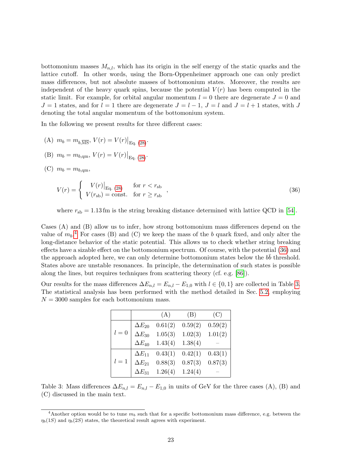bottomonium masses  $M_{n,l}$ , which has its origin in the self energy of the static quarks and the lattice cutoff. In other words, using the Born-Oppenheimer approach one can only predict mass differences, but not absolute masses of bottomonium states. Moreover, the results are independent of the heavy quark spins, because the potential  $V(r)$  has been computed in the static limit. For example, for orbital angular momentum  $l = 0$  there are degenerate  $J = 0$  and  $J = 1$  states, and for  $l = 1$  there are degenerate  $J = l - 1$ ,  $J = l$  and  $J = l + 1$  states, with J denoting the total angular momentum of the bottomonium system.

In the following we present results for three different cases:

- (A)  $m_b = m_{b,\overline{\text{MS}}}, V(r) = V(r)|_{\text{Eq. (28)}}.$  $m_b = m_{b,\overline{\text{MS}}}, V(r) = V(r)|_{\text{Eq. (28)}}.$  $m_b = m_{b,\overline{\text{MS}}}, V(r) = V(r)|_{\text{Eq. (28)}}.$
- (B)  $m_b = m_{b, \text{qm}}, V(r) = V(r)|_{\text{Eq. (28)}}.$  $m_b = m_{b, \text{qm}}, V(r) = V(r)|_{\text{Eq. (28)}}.$  $m_b = m_{b, \text{qm}}, V(r) = V(r)|_{\text{Eq. (28)}}.$
- (C)  $m_b = m_{b,\text{cm}},$

<span id="page-23-1"></span>
$$
V(r) = \begin{cases} V(r)|_{\text{Eq. (28)}} & \text{for } r < r_{\text{sb}} \\ V(r_{\text{sb}}) = \text{const.} & \text{for } r \ge r_{\text{sb}} \end{cases},
$$
\n(36)

where  $r_{sb} = 1.13$  fm is the string breaking distance determined with lattice QCD in [\[54\]](#page-31-7).

Cases (A) and (B) allow us to infer, how strong bottomonium mass differences depend on the value of  $m_b$ <sup>[4](#page-23-0)</sup>. For cases (B) and (C) we keep the mass of the b quark fixed, and only alter the long-distance behavior of the static potential. This allows us to check whether string breaking effects have a sizable effect on the bottomonium spectrum. Of course, with the potential [\(36\)](#page-23-1) and the approach adopted here, we can only determine bottomonium states below the  $b\bar{b}$  threshold. States above are unstable resonances. In principle, the determination of such states is possible along the lines, but requires techniques from scattering theory (cf. e.g. [\[86\]](#page-33-1)).

<span id="page-23-2"></span>Our results for the mass differences  $\Delta E_{n,l} = E_{n,l} - E_{1,0}$  with  $l \in \{0,1\}$  are collected in Table [3.](#page-23-2) The statistical analysis has been performed with the method detailed in Sec. [5.2,](#page-19-2) employing  $N = 3000$  samples for each bottomonium mass.

|       |                                    | (A)     | (B)     | (C)     |
|-------|------------------------------------|---------|---------|---------|
|       |                                    | 0.61(2) | 0.59(2) | 0.59(2) |
| $l=0$ | $\Delta E_{20}$<br>$\Delta E_{30}$ | 1.05(3) | 1.02(3) | 1.01(2) |
|       | $\Delta E_{40}$                    | 1.43(4) | 1.38(4) |         |
|       | $\Delta E_{11}$                    | 0.43(1) | 0.42(1) | 0.43(1) |
| $l=1$ | $\Delta E_{21}$                    | 0.88(3) | 0.87(3) | 0.87(3) |
|       | $\Delta E_{31}$                    | 1.26(4) | 1.24(4) |         |

Table 3: Mass differences  $\Delta E_{n,l} = E_{n,l} - E_{1,0}$  in units of GeV for the three cases (A), (B) and (C) discussed in the main text.

<span id="page-23-0"></span><sup>&</sup>lt;sup>4</sup>Another option would be to tune  $m_b$  such that for a specific bottomonium mass difference, e.g. between the  $\eta_b(1S)$  and  $\eta_b(2S)$  states, the theoretical result agrees with experiment.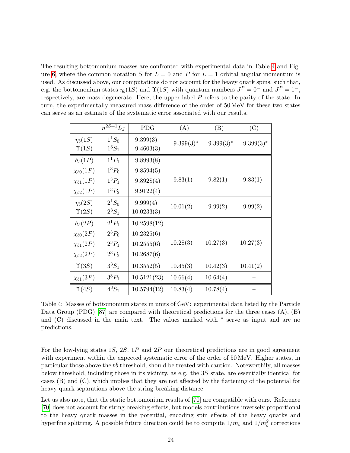The resulting bottomonium masses are confronted with experimental data in Table [4](#page-24-0) and Fig-ure [6,](#page-25-0) where the common notation S for  $L = 0$  and P for  $L = 1$  orbital angular momentum is used. As discussed above, our computations do not account for the heavy quark spins, such that, e.g. the bottomonium states  $\eta_b(1S)$  and  $\Upsilon(1S)$  with quantum numbers  $J^P = 0^-$  and  $J^P = 1^-$ , respectively, are mass degenerate. Here, the upper label P refers to the parity of the state. In turn, the experimentally measured mass difference of the order of 50 MeV for these two states can serve as an estimate of the systematic error associated with our results.

<span id="page-24-0"></span>

|                 | $n^{2S+1}L_J$ | <b>PDG</b>  | (A)          | (B)          | (C)          |
|-----------------|---------------|-------------|--------------|--------------|--------------|
| $\eta_b(1S)$    | $1^{1}S_{0}$  | 9.399(3)    | $9.399(3)^*$ | $9.399(3)^*$ | $9.399(3)^*$ |
| $\Upsilon(1S)$  | $1^3S_1$      | 9.4603(3)   |              |              |              |
| $h_b(1P)$       | $1^{1}P_{1}$  | 9.8993(8)   |              |              |              |
| $\chi_{b0}(1P)$ | $1^3P_0$      | 9.8594(5)   |              |              |              |
| $\chi_{b1}(1P)$ | $1^3P_1$      | 9.8928(4)   | 9.83(1)      | 9.82(1)      | 9.83(1)      |
| $\chi_{b2}(1P)$ | $1^3P_2$      | 9.9122(4)   |              |              |              |
| $\eta_b(2S)$    | $2^1S_0$      | 9.999(4)    | 10.01(2)     | 9.99(2)      | 9.99(2)      |
| $\Upsilon(2S)$  | $2^3S_1$      | 10.0233(3)  |              |              |              |
| $h_b(2P)$       | $2^1P_1$      | 10.2598(12) |              |              |              |
| $\chi_{b0}(2P)$ | $2^3P_0$      | 10.2325(6)  |              |              |              |
| $\chi_{b1}(2P)$ | $2^3P_1$      | 10.2555(6)  | 10.28(3)     | 10.27(3)     | 10.27(3)     |
| $\chi_{b2}(2P)$ | $2^3P_2$      | 10.2687(6)  |              |              |              |
| $\Upsilon(3S)$  | $3^3S_1$      | 10.3552(5)  | 10.45(3)     | 10.42(3)     | 10.41(2)     |
| $\chi_{b1}(3P)$ | $3^{3}P_{1}$  | 10.5121(23) | 10.66(4)     | 10.64(4)     |              |
| $\Upsilon(4S)$  | $4^3S_1$      | 10.5794(12) | 10.83(4)     | 10.78(4)     |              |

Table 4: Masses of bottomonium states in units of GeV: experimental data listed by the Particle Data Group (PDG) [\[87\]](#page-33-2) are compared with theoretical predictions for the three cases  $(A)$ ,  $(B)$ and (C) discussed in the main text. The values marked with <sup>\*</sup> serve as input and are no predictions.

For the low-lying states  $1S$ ,  $2S$ ,  $1P$  and  $2P$  our theoretical predictions are in good agreement with experiment within the expected systematic error of the order of 50 MeV. Higher states, in particular those above the  $b\bar{b}$  threshold, should be treated with caution. Noteworthily, all masses below threshold, including those in its vicinity, as e.g. the 3S state, are essentially identical for cases (B) and (C), which implies that they are not affected by the flattening of the potential for heavy quark separations above the string breaking distance.

Let us also note, that the static bottomonium results of [\[70\]](#page-32-4) are compatible with ours. Reference [\[70\]](#page-32-4) does not account for string breaking effects, but models contributions inversely proportional to the heavy quark masses in the potential, encoding spin effects of the heavy quarks and hyperfine splitting. A possible future direction could be to compute  $1/m_b$  and  $1/m_b^2$  corrections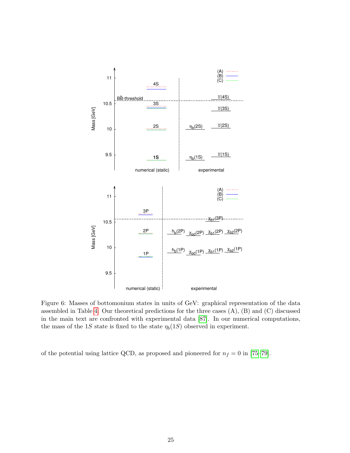<span id="page-25-0"></span>

Figure 6: Masses of bottomonium states in units of GeV: graphical representation of the data assembled in Table [4.](#page-24-0) Our theoretical predictions for the three cases (A), (B) and (C) discussed in the main text are confronted with experimental data [\[87\]](#page-33-2). In our numerical computations, the mass of the 1S state is fixed to the state  $\eta_b(1S)$  observed in experiment.

of the potential using lattice QCD, as proposed and pioneered for  $n_f = 0$  in [\[75–](#page-32-9)[79\]](#page-32-10).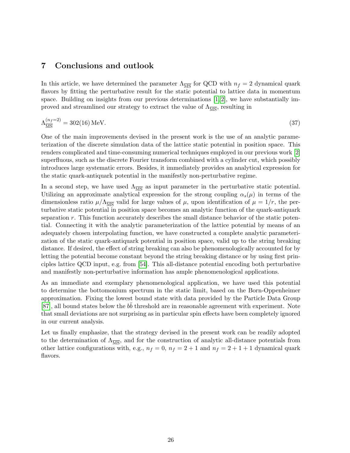## <span id="page-26-0"></span>7 Conclusions and outlook

In this article, we have determined the parameter  $\Lambda_{\overline{\text{MS}}}$  for QCD with  $n_f = 2$  dynamical quark flavors by fitting the perturbative result for the static potential to lattice data in momentum space. Building on insights from our previous determinations  $[1, 2]$  $[1, 2]$ , we have substantially improved and streamlined our strategy to extract the value of  $\Lambda_{\overline{\text{MS}}}$ , resulting in

$$
\Lambda_{\overline{\rm MS}}^{(n_f=2)} = 302(16) \,\text{MeV}.\tag{37}
$$

One of the main improvements devised in the present work is the use of an analytic parameterization of the discrete simulation data of the lattice static potential in position space. This renders complicated and time-consuming numerical techniques employed in our previous work [\[2\]](#page-28-1) superfluous, such as the discrete Fourier transform combined with a cylinder cut, which possibly introduces large systematic errors. Besides, it immediately provides an analytical expression for the static quark-antiquark potential in the manifestly non-perturbative regime.

In a second step, we have used  $\Lambda_{\overline{\text{MS}}}$  as input parameter in the perturbative static potential. Utilizing an approximate analytical expression for the strong coupling  $\alpha_s(\mu)$  in terms of the dimensionless ratio  $\mu/\Lambda_{\overline{MS}}$  valid for large values of  $\mu$ , upon identification of  $\mu = 1/r$ , the perturbative static potential in position space becomes an analytic function of the quark-antiquark separation  $r$ . This function accurately describes the small distance behavior of the static potential. Connecting it with the analytic parameterization of the lattice potential by means of an adequately chosen interpolating function, we have constructed a complete analytic parameterization of the static quark-antiquark potential in position space, valid up to the string breaking distance. If desired, the effect of string breaking can also be phenomenologically accounted for by letting the potential become constant beyond the string breaking distance or by using first principles lattice QCD input, e.g. from [\[54\]](#page-31-7). This all-distance potential encoding both perturbative and manifestly non-perturbative information has ample phenomenological applications.

As an immediate and exemplary phenomenological application, we have used this potential to determine the bottomonium spectrum in the static limit, based on the Born-Oppenheimer approximation. Fixing the lowest bound state with data provided by the Particle Data Group [\[87\]](#page-33-2), all bound states below the  $b\bar{b}$  threshold are in reasonable agreement with experiment. Note that small deviations are not surprising as in particular spin effects have been completely ignored in our current analysis.

Let us finally emphasize, that the strategy devised in the present work can be readily adopted to the determination of  $\Lambda_{\overline{\text{MS}}}$ , and for the construction of analytic all-distance potentials from other lattice configurations with, e.g.,  $n_f = 0$ ,  $n_f = 2 + 1$  and  $n_f = 2 + 1 + 1$  dynamical quark flavors.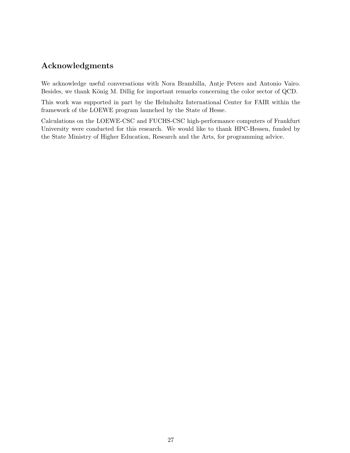## Acknowledgments

We acknowledge useful conversations with Nora Brambilla, Antje Peters and Antonio Vairo. Besides, we thank König M. Dillig for important remarks concerning the color sector of QCD.

This work was supported in part by the Helmholtz International Center for FAIR within the framework of the LOEWE program launched by the State of Hesse.

Calculations on the LOEWE-CSC and FUCHS-CSC high-performance computers of Frankfurt University were conducted for this research. We would like to thank HPC-Hessen, funded by the State Ministry of Higher Education, Research and the Arts, for programming advice.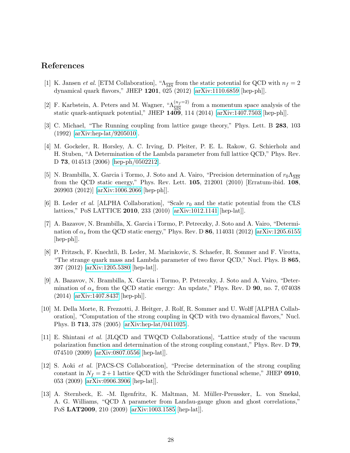# References

- <span id="page-28-0"></span>[1] K. Jansen *et al.* [ETM Collaboration], " $\Lambda_{\overline{\text{MS}}}$  from the static potential for QCD with  $n_f = 2$ dynamical quark flavors," JHEP 1201, 025 (2012) [\[arXiv:1110.6859](http://arxiv.org/abs/1110.6859) [hep-ph]].
- <span id="page-28-1"></span>[2] F. Karbstein, A. Peters and M. Wagner, " $\Lambda_{\overline{MS}}^{(n_f=2)}$  from a momentum space analysis of the static quark-antiquark potential," JHEP 1409, 114 (2014) [\[arXiv:1407.7503](http://arxiv.org/abs/1407.7503) [hep-ph]].
- <span id="page-28-2"></span>[3] C. Michael, "The Running coupling from lattice gauge theory," Phys. Lett. B 283, 103 (1992) [\[arXiv:hep-lat/9205010\]](http://arxiv.org/abs/hep-lat/9205010).
- [4] M. Gockeler, R. Horsley, A. C. Irving, D. Pleiter, P. E. L. Rakow, G. Schierholz and H. Stuben, "A Determination of the Lambda parameter from full lattice QCD," Phys. Rev. D 73, 014513 (2006) [\[hep-ph/0502212\]](http://arxiv.org/abs/hep-ph/0502212).
- [5] N. Brambilla, X. Garcia i Tormo, J. Soto and A. Vairo, "Precision determination of  $r_0\Lambda_{\overline{\rm MS}}$ from the QCD static energy," Phys. Rev. Lett. 105, 212001 (2010) [Erratum-ibid. 108, 269903 (2012)] [\[arXiv:1006.2066](http://arxiv.org/abs/1006.2066) [hep-ph]].
- [6] B. Leder *et al.* [ALPHA Collaboration], "Scale  $r_0$  and the static potential from the CLS lattices," PoS LATTICE 2010, 233 (2010) [\[arXiv:1012.1141](http://arxiv.org/abs/1012.1141) [hep-lat]].
- [7] A. Bazavov, N. Brambilla, X. Garcia i Tormo, P. Petreczky, J. Soto and A. Vairo, "Determination of  $\alpha_s$  from the QCD static energy," Phys. Rev. D 86, 114031 (2012) [\[arXiv:1205.6155](http://arxiv.org/abs/1205.6155) [hep-ph]].
- [8] P. Fritzsch, F. Knechtli, B. Leder, M. Marinkovic, S. Schaefer, R. Sommer and F. Virotta, "The strange quark mass and Lambda parameter of two flavor QCD," Nucl. Phys. B 865, 397 (2012) [\[arXiv:1205.5380](http://arxiv.org/abs/1205.5380) [hep-lat]].
- <span id="page-28-3"></span>[9] A. Bazavov, N. Brambilla, X. Garcia i Tormo, P. Petreczky, J. Soto and A. Vairo, "Determination of  $\alpha_s$  from the QCD static energy: An update," Phys. Rev. D 90, no. 7, 074038 (2014) [\[arXiv:1407.8437](http://arxiv.org/abs/1407.8437) [hep-ph]].
- <span id="page-28-4"></span>[10] M. Della Morte, R. Frezzotti, J. Heitger, J. Rolf, R. Sommer and U. Wolff [ALPHA Collaboration], "Computation of the strong coupling in QCD with two dynamical flavors," Nucl. Phys. B 713, 378 (2005) [\[arXiv:hep-lat/0411025\]](http://arxiv.org/abs/hep-lat/0411025).
- [11] E. Shintani et al. [JLQCD and TWQCD Collaborations], "Lattice study of the vacuum polarization function and determination of the strong coupling constant," Phys. Rev. D 79, 074510 (2009) [\[arXiv:0807.0556](http://arxiv.org/abs/0807.0556) [hep-lat]].
- [12] S. Aoki et al. [PACS-CS Collaboration], "Precise determination of the strong coupling constant in  $N_f = 2 + 1$  lattice QCD with the Schrödinger functional scheme," JHEP 0910, 053 (2009) [\[arXiv:0906.3906](http://arxiv.org/abs/0906.3906) [hep-lat]].
- [13] A. Sternbeck, E. -M. Ilgenfritz, K. Maltman, M. M¨uller-Preussker, L. von Smekal, A. G. Williams, "QCD Λ parameter from Landau-gauge gluon and ghost correlations," PoS LAT2009, 210 (2009) [\[arXiv:1003.1585](http://arxiv.org/abs/1003.1585) [hep-lat]].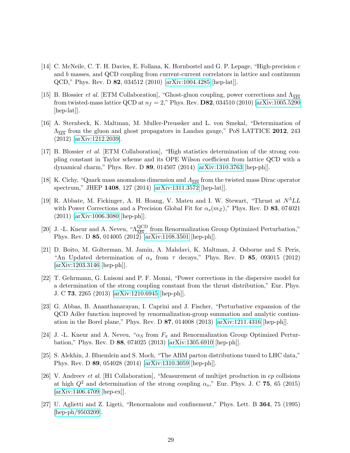- [14] C. McNeile, C. T. H. Davies, E. Follana, K. Hornbostel and G. P. Lepage, "High-precision c and b masses, and QCD coupling from current-current correlators in lattice and continuum QCD," Phys. Rev. D 82, 034512 (2010) [\[arXiv:1004.4285](http://arxiv.org/abs/1004.4285) [hep-lat]].
- [15] B. Blossier *et al.* [ETM Collaboration], "Ghost-gluon coupling, power corrections and  $\Lambda_{\overline{\text{MS}}}$ from twisted-mass lattice QCD at  $n_f = 2$ ," Phys. Rev. **D82**, 034510 (2010) [\[arXiv:1005.5290](http://arxiv.org/abs/1005.5290) [hep-lat].
- [16] A. Sternbeck, K. Maltman, M. Muller-Preussker and L. von Smekal, "Determination of  $\Lambda_{\overline{\text{MS}}}$  from the gluon and ghost propagators in Landau gauge," PoS LATTICE 2012, 243 (2012) [\[arXiv:1212.2039\]](http://arxiv.org/abs/1212.2039).
- [17] B. Blossier et al. [ETM Collaboration], "High statistics determination of the strong coupling constant in Taylor scheme and its OPE Wilson coefficient from lattice QCD with a dynamical charm," Phys. Rev. D 89, 014507 (2014) [\[arXiv:1310.3763](http://arxiv.org/abs/1310.3763) [hep-ph]].
- <span id="page-29-0"></span>[18] K. Cichy, "Quark mass anomalous dimension and  $\Lambda_{\overline{\rm MS}}$  from the twisted mass Dirac operator spectrum," JHEP 1408, 127 (2014) [\[arXiv:1311.3572](http://arxiv.org/abs/1311.3572) [hep-lat]].
- <span id="page-29-1"></span>[19] R. Abbate, M. Fickinger, A. H. Hoang, V. Mateu and I. W. Stewart, "Thrust at  $N^3LL$ with Power Corrections and a Precision Global Fit for  $\alpha_s(m_Z)$ ," Phys. Rev. D 83, 074021 (2011) [\[arXiv:1006.3080](http://arxiv.org/abs/1006.3080) [hep-ph]].
- [20] J. -L. Kneur and A. Neveu, " $\Lambda_{\overline{MS}}^{\text{QCD}}$  from Renormalization Group Optimized Perturbation," Phys. Rev. D 85, 014005 (2012) [\[arXiv:1108.3501](http://arxiv.org/abs/1108.3501) [hep-ph]].
- [21] D. Boito, M. Golterman, M. Jamin, A. Mahdavi, K. Maltman, J. Osborne and S. Peris, "An Updated determination of  $\alpha_s$  from  $\tau$  decays," Phys. Rev. D 85, 093015 (2012) [\[arXiv:1203.3146](http://arxiv.org/abs/1203.3146) [hep-ph]].
- [22] T. Gehrmann, G. Luisoni and P. F. Monni, "Power corrections in the dispersive model for a determination of the strong coupling constant from the thrust distribution," Eur. Phys. J. C 73, 2265 (2013) [\[arXiv:1210.6945](http://arxiv.org/abs/1210.6945) [hep-ph]].
- [23] G. Abbas, B. Ananthanarayan, I. Caprini and J. Fischer, "Perturbative expansion of the QCD Adler function improved by renormalization-group summation and analytic continuation in the Borel plane," Phys. Rev. D 87, 014008 (2013) [\[arXiv:1211.4316](http://arxiv.org/abs/1211.4316) [hep-ph]].
- [24] J. -L. Kneur and A. Neveu, " $\alpha_S$  from  $F_\pi$  and Renormalization Group Optimized Perturbation," Phys. Rev. D 88, 074025 (2013) [\[arXiv:1305.6910](http://arxiv.org/abs/1305.6910) [hep-ph]].
- [25] S. Alekhin, J. Bluemlein and S. Moch, "The ABM parton distributions tuned to LHC data," Phys. Rev. D 89, 054028 (2014) [\[arXiv:1310.3059](http://arxiv.org/abs/1310.3059) [hep-ph]].
- <span id="page-29-2"></span>[26] V. Andreev et al. [H1 Collaboration], "Measurement of multijet production in ep collisions at high  $Q^2$  and determination of the strong coupling  $\alpha_s$ ," Eur. Phys. J. C 75, 65 (2015) [\[arXiv:1406.4709](http://arxiv.org/abs/1406.4709) [hep-ex]].
- <span id="page-29-3"></span>[27] U. Aglietti and Z. Ligeti, "Renormalons and confinement," Phys. Lett. B 364, 75 (1995) [\[hep-ph/9503209\]](http://arxiv.org/abs/hep-ph/9503209).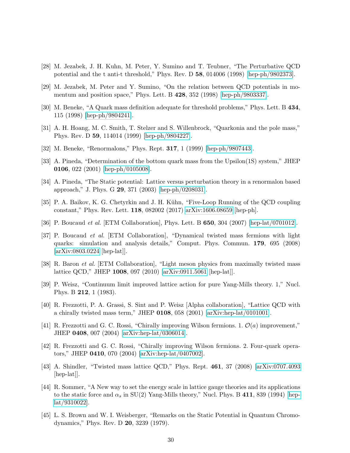- [28] M. Jezabek, J. H. Kuhn, M. Peter, Y. Sumino and T. Teubner, "The Perturbative QCD potential and the t anti-t threshold," Phys. Rev. D 58, 014006 (1998) [\[hep-ph/9802373\]](http://arxiv.org/abs/hep-ph/9802373).
- [29] M. Jezabek, M. Peter and Y. Sumino, "On the relation between QCD potentials in momentum and position space," Phys. Lett. B 428, 352 (1998) [\[hep-ph/9803337\]](http://arxiv.org/abs/hep-ph/9803337).
- <span id="page-30-10"></span>[30] M. Beneke, "A Quark mass definition adequate for threshold problems," Phys. Lett. B 434, 115 (1998) [\[hep-ph/9804241\]](http://arxiv.org/abs/hep-ph/9804241).
- [31] A. H. Hoang, M. C. Smith, T. Stelzer and S. Willenbrock, "Quarkonia and the pole mass," Phys. Rev. D 59, 114014 (1999) [\[hep-ph/9804227\]](http://arxiv.org/abs/hep-ph/9804227).
- [32] M. Beneke, "Renormalons," Phys. Rept. 317, 1 (1999) [\[hep-ph/9807443\]](http://arxiv.org/abs/hep-ph/9807443).
- [33] A. Pineda, "Determination of the bottom quark mass from the Upsilon(1S) system," JHEP 0106, 022 (2001) [\[hep-ph/0105008\]](http://arxiv.org/abs/hep-ph/0105008).
- <span id="page-30-0"></span>[34] A. Pineda, "The Static potential: Lattice versus perturbation theory in a renormalon based approach," J. Phys. G 29, 371 (2003) [\[hep-ph/0208031\]](http://arxiv.org/abs/hep-ph/0208031).
- <span id="page-30-1"></span>[35] P. A. Baikov, K. G. Chetyrkin and J. H. Kühn, "Five-Loop Running of the QCD coupling constant," Phys. Rev. Lett. 118, 082002 (2017) [arXiv:1606.08659](http://arxiv.org/abs/1606.08659) [hep-ph].
- <span id="page-30-2"></span>[36] P. Boucaud et al. [ETM Collaboration], Phys. Lett. B 650, 304 (2007) [\[hep-lat/0701012\]](http://arxiv.org/abs/hep-lat/0701012).
- <span id="page-30-7"></span>[37] P. Boucaud et al. [ETM Collaboration], "Dynamical twisted mass fermions with light quarks: simulation and analysis details," Comput. Phys. Commun. 179, 695 (2008) [\[arXiv:0803.0224](http://arxiv.org/abs/0803.0224) [hep-lat]].
- <span id="page-30-3"></span>[38] R. Baron et al. [ETM Collaboration], "Light meson physics from maximally twisted mass lattice QCD," JHEP 1008, 097 (2010) [\[arXiv:0911.5061](http://arxiv.org/abs/0911.5061) [hep-lat]].
- <span id="page-30-4"></span>[39] P. Weisz, "Continuum limit improved lattice action for pure Yang-Mills theory. 1," Nucl. Phys. B 212, 1 (1983).
- <span id="page-30-5"></span>[40] R. Frezzotti, P. A. Grassi, S. Sint and P. Weisz [Alpha collaboration], "Lattice QCD with a chirally twisted mass term," JHEP 0108, 058 (2001) [\[arXiv:hep-lat/0101001\]](http://arxiv.org/abs/hep-lat/0101001).
- [41] R. Frezzotti and G. C. Rossi, "Chirally improving Wilson fermions. 1.  $\mathcal{O}(a)$  improvement," JHEP 0408, 007 (2004) [\[arXiv:hep-lat/0306014\]](http://arxiv.org/abs/hep-lat/0306014).
- [42] R. Frezzotti and G. C. Rossi, "Chirally improving Wilson fermions. 2. Four-quark operators," JHEP 0410, 070 (2004) [\[arXiv:hep-lat/0407002\]](http://arxiv.org/abs/hep-lat/0407002).
- <span id="page-30-6"></span>[43] A. Shindler, "Twisted mass lattice QCD," Phys. Rept. 461, 37 (2008) [\[arXiv:0707.4093](http://arxiv.org/abs/0707.4093) [hep-lat].
- <span id="page-30-8"></span>[44] R. Sommer, "A New way to set the energy scale in lattice gauge theories and its applications to the static force and  $\alpha_s$  in SU(2) Yang-Mills theory," Nucl. Phys. B 411, 839 (1994) [\[hep](http://arxiv.org/abs/hep-lat/9310022)[lat/9310022\]](http://arxiv.org/abs/hep-lat/9310022).
- <span id="page-30-9"></span>[45] L. S. Brown and W. I. Weisberger, "Remarks on the Static Potential in Quantum Chromodynamics," Phys. Rev. D 20, 3239 (1979).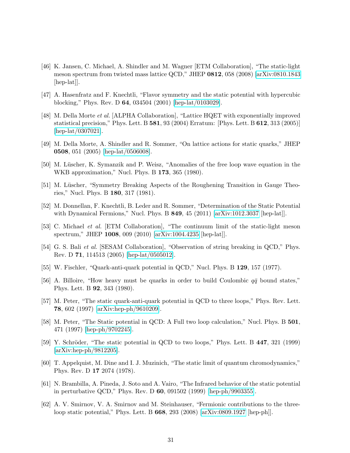- <span id="page-31-0"></span>[46] K. Jansen, C. Michael, A. Shindler and M. Wagner [ETM Collaboration], "The static-light meson spectrum from twisted mass lattice QCD," JHEP 0812, 058 (2008) [\[arXiv:0810.1843](http://arxiv.org/abs/0810.1843) [hep-lat].
- <span id="page-31-1"></span>[47] A. Hasenfratz and F. Knechtli, "Flavor symmetry and the static potential with hypercubic blocking," Phys. Rev. D 64, 034504 (2001) [\[hep-lat/0103029\]](http://arxiv.org/abs/hep-lat/0103029).
- [48] M. Della Morte et al. [ALPHA Collaboration], "Lattice HQET with exponentially improved statistical precision," Phys. Lett. B 581, 93 (2004) Erratum: [Phys. Lett. B 612, 313 (2005)] [\[hep-lat/0307021\]](http://arxiv.org/abs/hep-lat/0307021).
- <span id="page-31-2"></span>[49] M. Della Morte, A. Shindler and R. Sommer, "On lattice actions for static quarks," JHEP 0508, 051 (2005) [\[hep-lat/0506008\]](http://arxiv.org/abs/hep-lat/0506008).
- <span id="page-31-3"></span>[50] M. Lüscher, K. Symanzik and P. Weisz, "Anomalies of the free loop wave equation in the WKB approximation," Nucl. Phys. B 173, 365 (1980).
- <span id="page-31-4"></span>[51] M. Lüscher, "Symmetry Breaking Aspects of the Roughening Transition in Gauge Theories," Nucl. Phys. B 180, 317 (1981).
- <span id="page-31-5"></span>[52] M. Donnellan, F. Knechtli, B. Leder and R. Sommer, "Determination of the Static Potential with Dynamical Fermions," Nucl. Phys. B **849**, 45 (2011) [\[arXiv:1012.3037](http://arxiv.org/abs/1012.3037) [hep-lat]].
- <span id="page-31-6"></span>[53] C. Michael et al. [ETM Collaboration], "The continuum limit of the static-light meson spectrum," JHEP 1008, 009 (2010) [\[arXiv:1004.4235](http://arxiv.org/abs/1004.4235) [hep-lat]].
- <span id="page-31-7"></span>[54] G. S. Bali et al. [SESAM Collaboration], "Observation of string breaking in QCD," Phys. Rev. D 71, 114513 (2005) [\[hep-lat/0505012\]](http://arxiv.org/abs/hep-lat/0505012).
- <span id="page-31-8"></span>[55] W. Fischler, "Quark-anti-quark potential in QCD," Nucl. Phys. B 129, 157 (1977).
- <span id="page-31-9"></span>[56] A. Billoire, "How heavy must be quarks in order to build Coulombic  $q\bar{q}$  bound states," Phys. Lett. B 92, 343 (1980).
- <span id="page-31-10"></span>[57] M. Peter, "The static quark-anti-quark potential in QCD to three loops," Phys. Rev. Lett. 78, 602 (1997) [\[arXiv:hep-ph/9610209\]](http://arxiv.org/abs/hep-ph/9610209).
- [58] M. Peter, "The Static potential in QCD: A Full two loop calculation," Nucl. Phys. B 501, 471 (1997) [\[hep-ph/9702245\]](http://arxiv.org/abs/hep-ph/9702245).
- <span id="page-31-11"></span>[59] Y. Schröder, "The static potential in QCD to two loops," Phys. Lett. B  $447$ , 321 (1999) [\[arXiv:hep-ph/9812205\]](http://arxiv.org/abs/hep-ph/9812205).
- <span id="page-31-12"></span>[60] T. Appelquist, M. Dine and I. J. Muzinich, "The static limit of quantum chromodynamics," Phys. Rev. D 17 2074 (1978).
- <span id="page-31-13"></span>[61] N. Brambilla, A. Pineda, J. Soto and A. Vairo, "The Infrared behavior of the static potential in perturbative QCD," Phys. Rev. D 60, 091502 (1999) [\[hep-ph/9903355\]](http://arxiv.org/abs/hep-ph/9903355).
- <span id="page-31-14"></span>[62] A. V. Smirnov, V. A. Smirnov and M. Steinhauser, "Fermionic contributions to the threeloop static potential," Phys. Lett. B 668, 293 (2008) [\[arXiv:0809.1927](http://arxiv.org/abs/0809.1927) [hep-ph]].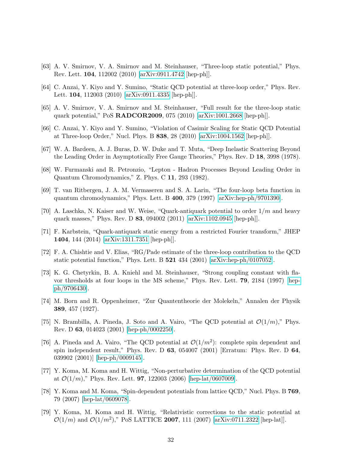- [63] A. V. Smirnov, V. A. Smirnov and M. Steinhauser, "Three-loop static potential," Phys. Rev. Lett. 104, 112002 (2010) [\[arXiv:0911.4742](http://arxiv.org/abs/0911.4742) [hep-ph]].
- [64] C. Anzai, Y. Kiyo and Y. Sumino, "Static QCD potential at three-loop order," Phys. Rev. Lett. 104, 112003 (2010) [\[arXiv:0911.4335](http://arxiv.org/abs/0911.4335) [hep-ph]].
- [65] A. V. Smirnov, V. A. Smirnov and M. Steinhauser, "Full result for the three-loop static quark potential," PoS RADCOR2009, 075 (2010) [\[arXiv:1001.2668](http://arxiv.org/abs/1001.2668) [hep-ph]].
- <span id="page-32-0"></span>[66] C. Anzai, Y. Kiyo and Y. Sumino, "Violation of Casimir Scaling for Static QCD Potential at Three-loop Order," Nucl. Phys. B 838, 28 (2010) [\[arXiv:1004.1562](http://arxiv.org/abs/1004.1562) [hep-ph]].
- <span id="page-32-1"></span>[67] W. A. Bardeen, A. J. Buras, D. W. Duke and T. Muta, "Deep Inelastic Scattering Beyond the Leading Order in Asymptotically Free Gauge Theories," Phys. Rev. D 18, 3998 (1978).
- <span id="page-32-2"></span>[68] W. Furmanski and R. Petronzio, "Lepton - Hadron Processes Beyond Leading Order in Quantum Chromodynamics," Z. Phys. C 11, 293 (1982).
- <span id="page-32-3"></span>[69] T. van Ritbergen, J. A. M. Vermaseren and S. A. Larin, "The four-loop beta function in quantum chromodynamics," Phys. Lett. B 400, 379 (1997) [\[arXiv:hep-ph/9701390\]](http://arxiv.org/abs/hep-ph/9701390).
- <span id="page-32-4"></span>[70] A. Laschka, N. Kaiser and W. Weise, "Quark-antiquark potential to order  $1/m$  and heavy quark masses," Phys. Rev. D 83, 094002 (2011) [\[arXiv:1102.0945](http://arxiv.org/abs/1102.0945) [hep-ph]].
- <span id="page-32-5"></span>[71] F. Karbstein, "Quark-antiquark static energy from a restricted Fourier transform," JHEP 1404, 144 (2014) [\[arXiv:1311.7351](http://arxiv.org/abs/1311.7351) [hep-ph]].
- <span id="page-32-6"></span>[72] F. A. Chishtie and V. Elias, "RG/Pade estimate of the three-loop contribution to the QCD static potential function," Phys. Lett. B 521 434 (2001) [\[arXiv:hep-ph/0107052\]](http://arxiv.org/abs/hep-ph/0107052).
- <span id="page-32-7"></span>[73] K. G. Chetyrkin, B. A. Kniehl and M. Steinhauser, "Strong coupling constant with flavor thresholds at four loops in the MS scheme," Phys. Rev. Lett. 79, 2184 (1997) [\[hep](http://arxiv.org/abs/hep-ph/9706430)[ph/9706430\]](http://arxiv.org/abs/hep-ph/9706430).
- <span id="page-32-8"></span>[74] M. Born and R. Oppenheimer, "Zur Quantentheorie der Molekeln," Annalen der Physik 389, 457 (1927).
- <span id="page-32-9"></span>[75] N. Brambilla, A. Pineda, J. Soto and A. Vairo, "The QCD potential at  $\mathcal{O}(1/m)$ ," Phys. Rev. D 63, 014023 (2001) [\[hep-ph/0002250\]](http://arxiv.org/abs/hep-ph/0002250).
- [76] A. Pineda and A. Vairo, "The QCD potential at  $\mathcal{O}(1/m^2)$ : complete spin dependent and spin independent result," Phys. Rev. D  $63$ ,  $054007$  (2001) [Erratum: Phys. Rev. D  $64$ , 039902 (2001)] [\[hep-ph/0009145\]](http://arxiv.org/abs/hep-ph/0009145).
- [77] Y. Koma, M. Koma and H. Wittig, "Non-perturbative determination of the QCD potential at  $\mathcal{O}(1/m)$ ," Phys. Rev. Lett. **97**, 122003 (2006) [\[hep-lat/0607009\]](http://arxiv.org/abs/hep-lat/0607009).
- [78] Y. Koma and M. Koma, "Spin-dependent potentials from lattice QCD," Nucl. Phys. B 769, 79 (2007) [\[hep-lat/0609078\]](http://arxiv.org/abs/hep-lat/0609078).
- <span id="page-32-10"></span>[79] Y. Koma, M. Koma and H. Wittig, "Relativistic corrections to the static potential at  $\mathcal{O}(1/m)$  and  $\mathcal{O}(1/m^2)$ ," PoS LATTICE 2007, 111 (2007) [\[arXiv:0711.2322](http://arxiv.org/abs/0711.2322) [hep-lat]].